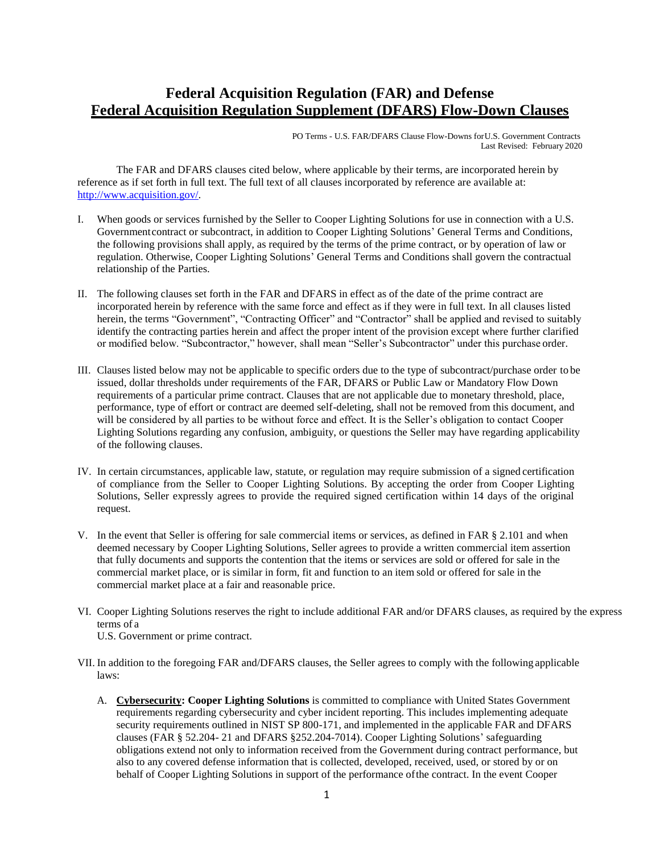# **Federal Acquisition Regulation (FAR) and Defense Federal Acquisition Regulation Supplement (DFARS) Flow-Down Clauses**

PO Terms - U.S. FAR/DFARS Clause Flow-Downs forU.S. Government Contracts Last Revised: February 2020

The FAR and DFARS clauses cited below, where applicable by their terms, are incorporated herein by reference as if set forth in full text. The full text of all clauses incorporated by reference are available at: [http://www.acquisition.gov/.](http://www.acquisition.gov/)

- I. When goods or services furnished by the Seller to Cooper Lighting Solutions for use in connection with a U.S. Governmentcontract or subcontract, in addition to Cooper Lighting Solutions' General Terms and Conditions, the following provisions shall apply, as required by the terms of the prime contract, or by operation of law or regulation. Otherwise, Cooper Lighting Solutions' General Terms and Conditions shall govern the contractual relationship of the Parties.
- II. The following clauses set forth in the FAR and DFARS in effect as of the date of the prime contract are incorporated herein by reference with the same force and effect as if they were in full text. In all clauses listed herein, the terms "Government", "Contracting Officer" and "Contractor" shall be applied and revised to suitably identify the contracting parties herein and affect the proper intent of the provision except where further clarified or modified below. "Subcontractor," however, shall mean "Seller's Subcontractor" under this purchase order.
- III. Clauses listed below may not be applicable to specific orders due to the type of subcontract/purchase order to be issued, dollar thresholds under requirements of the FAR, DFARS or Public Law or Mandatory Flow Down requirements of a particular prime contract. Clauses that are not applicable due to monetary threshold, place, performance, type of effort or contract are deemed self-deleting, shall not be removed from this document, and will be considered by all parties to be without force and effect. It is the Seller's obligation to contact Cooper Lighting Solutions regarding any confusion, ambiguity, or questions the Seller may have regarding applicability of the following clauses.
- IV. In certain circumstances, applicable law, statute, or regulation may require submission of a signed certification of compliance from the Seller to Cooper Lighting Solutions. By accepting the order from Cooper Lighting Solutions, Seller expressly agrees to provide the required signed certification within 14 days of the original request.
- V. In the event that Seller is offering for sale commercial items or services, as defined in FAR § 2.101 and when deemed necessary by Cooper Lighting Solutions, Seller agrees to provide a written commercial item assertion that fully documents and supports the contention that the items or services are sold or offered for sale in the commercial market place, or is similar in form, fit and function to an item sold or offered for sale in the commercial market place at a fair and reasonable price.
- VI. Cooper Lighting Solutions reserves the right to include additional FAR and/or DFARS clauses, as required by the express terms of a U.S. Government or prime contract.
- VII. In addition to the foregoing FAR and/DFARS clauses, the Seller agrees to comply with the following applicable laws:
	- A. **Cybersecurity: Cooper Lighting Solutions** is committed to compliance with United States Government requirements regarding cybersecurity and cyber incident reporting. This includes implementing adequate security requirements outlined in NIST SP 800-171, and implemented in the applicable FAR and DFARS clauses (FAR § 52.204- 21 and DFARS §252.204-7014). Cooper Lighting Solutions' safeguarding obligations extend not only to information received from the Government during contract performance, but also to any covered defense information that is collected, developed, received, used, or stored by or on behalf of Cooper Lighting Solutions in support of the performance ofthe contract. In the event Cooper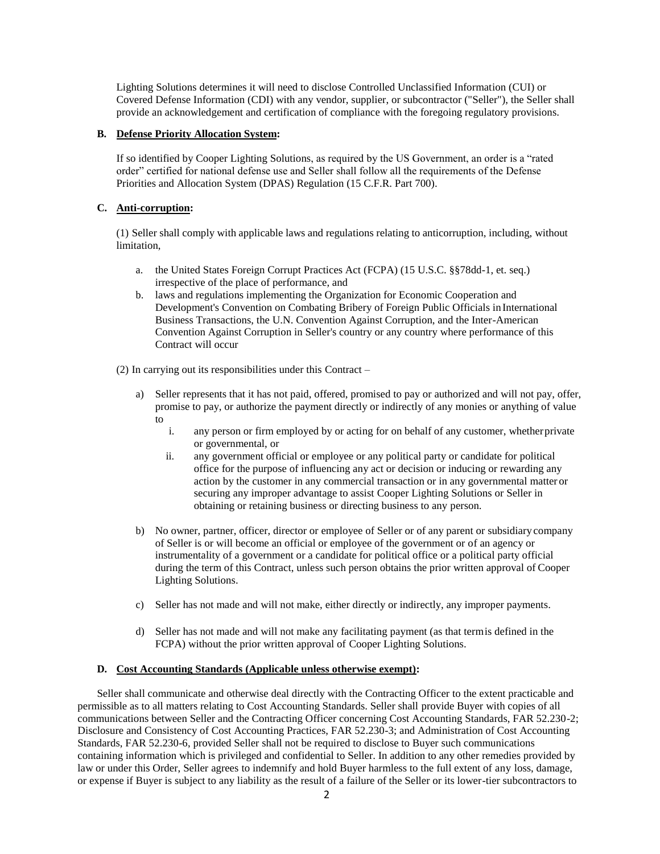Lighting Solutions determines it will need to disclose Controlled Unclassified Information (CUI) or Covered Defense Information (CDI) with any vendor, supplier, or subcontractor ("Seller"), the Seller shall provide an acknowledgement and certification of compliance with the foregoing regulatory provisions.

#### **B. Defense Priority Allocation System:**

If so identified by Cooper Lighting Solutions, as required by the US Government, an order is a "rated order" certified for national defense use and Seller shall follow all the requirements of the Defense Priorities and Allocation System (DPAS) Regulation (15 C.F.R. Part 700).

## **C. Anti-corruption:**

(1) Seller shall comply with applicable laws and regulations relating to anticorruption, including, without limitation,

- a. the United States Foreign Corrupt Practices Act (FCPA) (15 U.S.C. §§78dd-1, et. seq.) irrespective of the place of performance, and
- b. laws and regulations implementing the Organization for Economic Cooperation and Development's Convention on Combating Bribery of Foreign Public Officials in International Business Transactions, the U.N. Convention Against Corruption, and the Inter-American Convention Against Corruption in Seller's country or any country where performance of this Contract will occur

(2) In carrying out its responsibilities under this Contract –

- a) Seller represents that it has not paid, offered, promised to pay or authorized and will not pay, offer, promise to pay, or authorize the payment directly or indirectly of any monies or anything of value to
	- i. any person or firm employed by or acting for on behalf of any customer, whether private or governmental, or
	- ii. any government official or employee or any political party or candidate for political office for the purpose of influencing any act or decision or inducing or rewarding any action by the customer in any commercial transaction or in any governmental matter or securing any improper advantage to assist Cooper Lighting Solutions or Seller in obtaining or retaining business or directing business to any person.
- b) No owner, partner, officer, director or employee of Seller or of any parent or subsidiary company of Seller is or will become an official or employee of the government or of an agency or instrumentality of a government or a candidate for political office or a political party official during the term of this Contract, unless such person obtains the prior written approval of Cooper Lighting Solutions.
- c) Seller has not made and will not make, either directly or indirectly, any improper payments.
- d) Seller has not made and will not make any facilitating payment (as that termis defined in the FCPA) without the prior written approval of Cooper Lighting Solutions.

#### **D. Cost Accounting Standards (Applicable unless otherwise exempt):**

Seller shall communicate and otherwise deal directly with the Contracting Officer to the extent practicable and permissible as to all matters relating to Cost Accounting Standards. Seller shall provide Buyer with copies of all communications between Seller and the Contracting Officer concerning Cost Accounting Standards, FAR 52.230-2; Disclosure and Consistency of Cost Accounting Practices, FAR 52.230-3; and Administration of Cost Accounting Standards, FAR 52.230-6, provided Seller shall not be required to disclose to Buyer such communications containing information which is privileged and confidential to Seller. In addition to any other remedies provided by law or under this Order, Seller agrees to indemnify and hold Buyer harmless to the full extent of any loss, damage, or expense if Buyer is subject to any liability as the result of a failure of the Seller or its lower-tier subcontractors to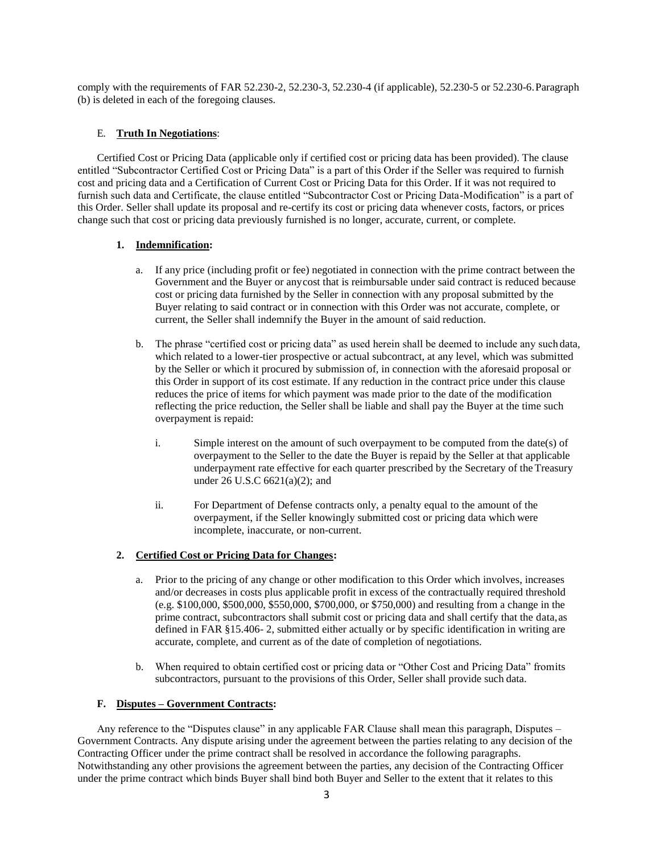comply with the requirements of FAR 52.230-2, 52.230-3, 52.230-4 (if applicable), 52.230-5 or 52.230-6. Paragraph (b) is deleted in each of the foregoing clauses.

#### E. **Truth In Negotiations**:

Certified Cost or Pricing Data (applicable only if certified cost or pricing data has been provided). The clause entitled "Subcontractor Certified Cost or Pricing Data" is a part of this Order if the Seller was required to furnish cost and pricing data and a Certification of Current Cost or Pricing Data for this Order. If it was not required to furnish such data and Certificate, the clause entitled "Subcontractor Cost or Pricing Data-Modification" is a part of this Order. Seller shall update its proposal and re-certify its cost or pricing data whenever costs, factors, or prices change such that cost or pricing data previously furnished is no longer, accurate, current, or complete.

#### **1. Indemnification:**

- a. If any price (including profit or fee) negotiated in connection with the prime contract between the Government and the Buyer or anycost that is reimbursable under said contract is reduced because cost or pricing data furnished by the Seller in connection with any proposal submitted by the Buyer relating to said contract or in connection with this Order was not accurate, complete, or current, the Seller shall indemnify the Buyer in the amount of said reduction.
- b. The phrase "certified cost or pricing data" as used herein shall be deemed to include any such data, which related to a lower-tier prospective or actual subcontract, at any level, which was submitted by the Seller or which it procured by submission of, in connection with the aforesaid proposal or this Order in support of its cost estimate. If any reduction in the contract price under this clause reduces the price of items for which payment was made prior to the date of the modification reflecting the price reduction, the Seller shall be liable and shall pay the Buyer at the time such overpayment is repaid:
	- i. Simple interest on the amount of such overpayment to be computed from the date(s) of overpayment to the Seller to the date the Buyer is repaid by the Seller at that applicable underpayment rate effective for each quarter prescribed by the Secretary of theTreasury under 26 U.S.C 6621(a)(2); and
	- ii. For Department of Defense contracts only, a penalty equal to the amount of the overpayment, if the Seller knowingly submitted cost or pricing data which were incomplete, inaccurate, or non-current.

#### **2. Certified Cost or Pricing Data for Changes:**

- a. Prior to the pricing of any change or other modification to this Order which involves, increases and/or decreases in costs plus applicable profit in excess of the contractually required threshold (e.g. \$100,000, \$500,000, \$550,000, \$700,000, or \$750,000) and resulting from a change in the prime contract, subcontractors shall submit cost or pricing data and shall certify that the data,as defined in FAR §15.406- 2, submitted either actually or by specific identification in writing are accurate, complete, and current as of the date of completion of negotiations.
- b. When required to obtain certified cost or pricing data or "Other Cost and Pricing Data" fromits subcontractors, pursuant to the provisions of this Order, Seller shall provide such data.

#### **F. Disputes – Government Contracts:**

Any reference to the "Disputes clause" in any applicable FAR Clause shall mean this paragraph, Disputes – Government Contracts. Any dispute arising under the agreement between the parties relating to any decision of the Contracting Officer under the prime contract shall be resolved in accordance the following paragraphs. Notwithstanding any other provisions the agreement between the parties, any decision of the Contracting Officer under the prime contract which binds Buyer shall bind both Buyer and Seller to the extent that it relates to this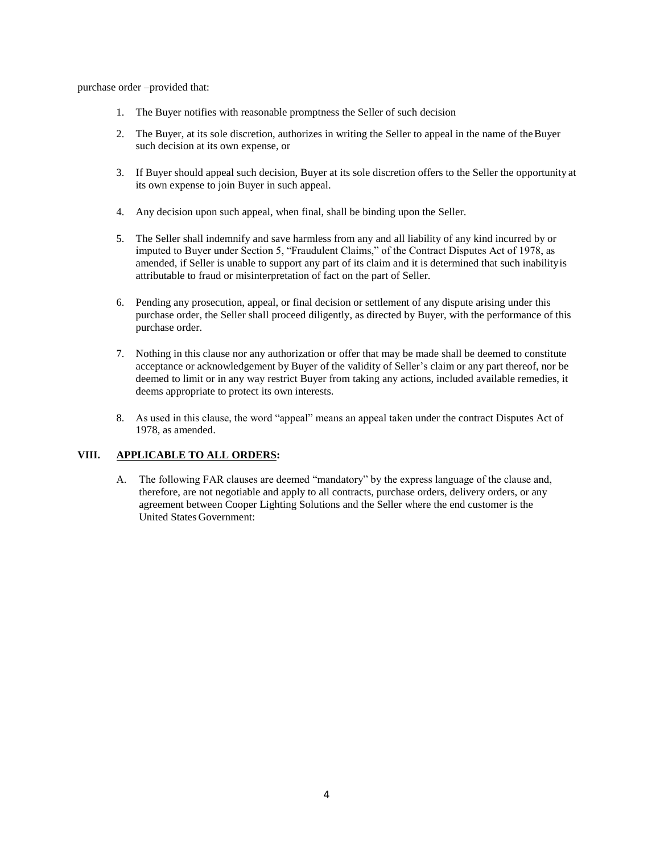purchase order –provided that:

- 1. The Buyer notifies with reasonable promptness the Seller of such decision
- 2. The Buyer, at its sole discretion, authorizes in writing the Seller to appeal in the name of theBuyer such decision at its own expense, or
- 3. If Buyer should appeal such decision, Buyer at its sole discretion offers to the Seller the opportunity at its own expense to join Buyer in such appeal.
- 4. Any decision upon such appeal, when final, shall be binding upon the Seller.
- 5. The Seller shall indemnify and save harmless from any and all liability of any kind incurred by or imputed to Buyer under Section 5, "Fraudulent Claims," of the Contract Disputes Act of 1978, as amended, if Seller is unable to support any part of its claim and it is determined that such inabilityis attributable to fraud or misinterpretation of fact on the part of Seller.
- 6. Pending any prosecution, appeal, or final decision or settlement of any dispute arising under this purchase order, the Seller shall proceed diligently, as directed by Buyer, with the performance of this purchase order.
- 7. Nothing in this clause nor any authorization or offer that may be made shall be deemed to constitute acceptance or acknowledgement by Buyer of the validity of Seller's claim or any part thereof, nor be deemed to limit or in any way restrict Buyer from taking any actions, included available remedies, it deems appropriate to protect its own interests.
- 8. As used in this clause, the word "appeal" means an appeal taken under the contract Disputes Act of 1978, as amended.

## **VIII. APPLICABLE TO ALL ORDERS:**

A. The following FAR clauses are deemed "mandatory" by the express language of the clause and, therefore, are not negotiable and apply to all contracts, purchase orders, delivery orders, or any agreement between Cooper Lighting Solutions and the Seller where the end customer is the United States Government: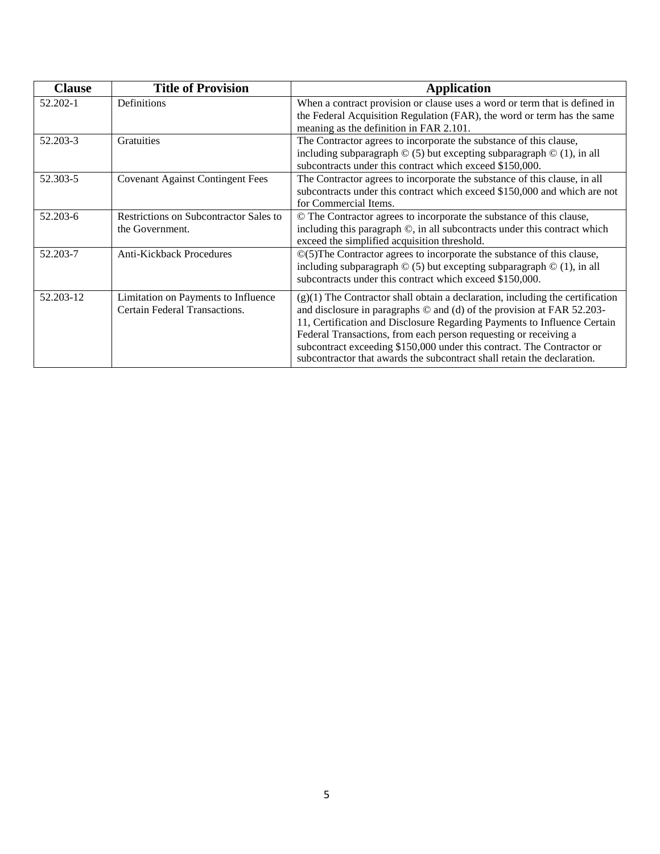| <b>Clause</b> | <b>Title of Provision</b>                                            | <b>Application</b>                                                                                                                                                                                                                                                                                                                                                                                                                                                   |
|---------------|----------------------------------------------------------------------|----------------------------------------------------------------------------------------------------------------------------------------------------------------------------------------------------------------------------------------------------------------------------------------------------------------------------------------------------------------------------------------------------------------------------------------------------------------------|
| 52.202-1      | Definitions                                                          | When a contract provision or clause uses a word or term that is defined in<br>the Federal Acquisition Regulation (FAR), the word or term has the same<br>meaning as the definition in FAR 2.101.                                                                                                                                                                                                                                                                     |
| 52.203-3      | Gratuities                                                           | The Contractor agrees to incorporate the substance of this clause,<br>including subparagraph $\circledcirc$ (5) but excepting subparagraph $\circledcirc$ (1), in all<br>subcontracts under this contract which exceed \$150,000.                                                                                                                                                                                                                                    |
| 52.303-5      | <b>Covenant Against Contingent Fees</b>                              | The Contractor agrees to incorporate the substance of this clause, in all<br>subcontracts under this contract which exceed \$150,000 and which are not<br>for Commercial Items.                                                                                                                                                                                                                                                                                      |
| 52.203-6      | Restrictions on Subcontractor Sales to<br>the Government.            | © The Contractor agrees to incorporate the substance of this clause,<br>including this paragraph $\circledcirc$ , in all subcontracts under this contract which<br>exceed the simplified acquisition threshold.                                                                                                                                                                                                                                                      |
| 52.203-7      | <b>Anti-Kickback Procedures</b>                                      | $\mathcal{O}(5)$ The Contractor agrees to incorporate the substance of this clause,<br>including subparagraph $\odot$ (5) but excepting subparagraph $\odot$ (1), in all<br>subcontracts under this contract which exceed \$150,000.                                                                                                                                                                                                                                 |
| 52.203-12     | Limitation on Payments to Influence<br>Certain Federal Transactions. | $(g)(1)$ The Contractor shall obtain a declaration, including the certification<br>and disclosure in paragraphs $\odot$ and (d) of the provision at FAR 52.203-<br>11, Certification and Disclosure Regarding Payments to Influence Certain<br>Federal Transactions, from each person requesting or receiving a<br>subcontract exceeding \$150,000 under this contract. The Contractor or<br>subcontractor that awards the subcontract shall retain the declaration. |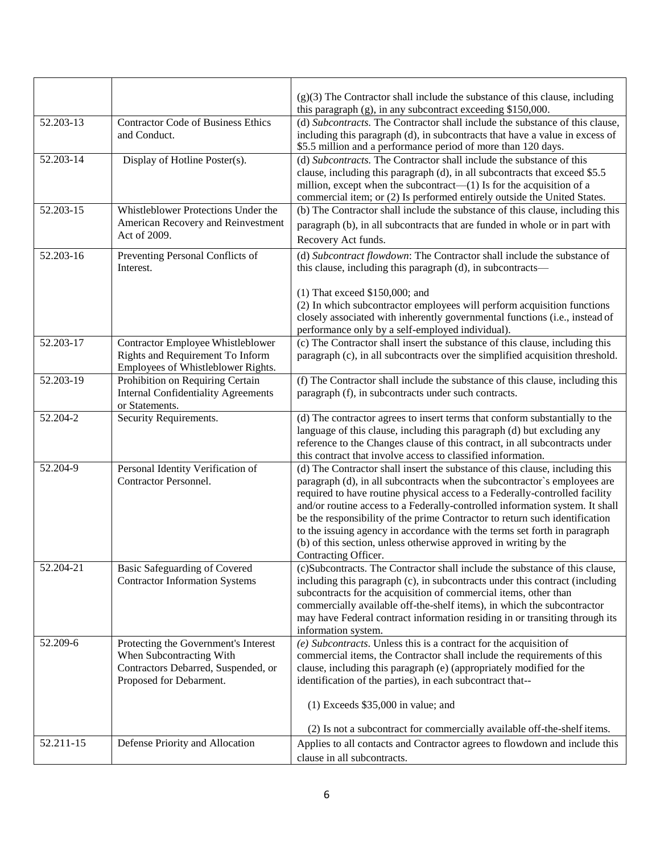|               |                                                                | $(g)(3)$ The Contractor shall include the substance of this clause, including                                                                             |
|---------------|----------------------------------------------------------------|-----------------------------------------------------------------------------------------------------------------------------------------------------------|
|               |                                                                | this paragraph (g), in any subcontract exceeding \$150,000.                                                                                               |
| 52.203-13     | <b>Contractor Code of Business Ethics</b>                      | (d) Subcontracts. The Contractor shall include the substance of this clause,                                                                              |
|               | and Conduct.                                                   | including this paragraph (d), in subcontracts that have a value in excess of<br>\$5.5 million and a performance period of more than 120 days.             |
| 52.203-14     | Display of Hotline Poster(s).                                  | (d) Subcontracts. The Contractor shall include the substance of this                                                                                      |
|               |                                                                | clause, including this paragraph (d), in all subcontracts that exceed \$5.5                                                                               |
|               |                                                                | million, except when the subcontract— $(1)$ Is for the acquisition of a                                                                                   |
|               |                                                                | commercial item; or (2) Is performed entirely outside the United States.                                                                                  |
| 52.203-15     | Whistleblower Protections Under the                            | (b) The Contractor shall include the substance of this clause, including this                                                                             |
|               | American Recovery and Reinvestment                             | paragraph (b), in all subcontracts that are funded in whole or in part with                                                                               |
|               | Act of 2009.                                                   |                                                                                                                                                           |
|               |                                                                | Recovery Act funds.                                                                                                                                       |
| 52.203-16     | Preventing Personal Conflicts of                               | (d) Subcontract flowdown: The Contractor shall include the substance of                                                                                   |
|               | Interest.                                                      | this clause, including this paragraph (d), in subcontracts—                                                                                               |
|               |                                                                | $(1)$ That exceed \$150,000; and                                                                                                                          |
|               |                                                                | (2) In which subcontractor employees will perform acquisition functions                                                                                   |
|               |                                                                | closely associated with inherently governmental functions (i.e., instead of                                                                               |
|               |                                                                | performance only by a self-employed individual).                                                                                                          |
| 52.203-17     | Contractor Employee Whistleblower                              | (c) The Contractor shall insert the substance of this clause, including this                                                                              |
|               | Rights and Requirement To Inform                               | paragraph (c), in all subcontracts over the simplified acquisition threshold.                                                                             |
|               | Employees of Whistleblower Rights.                             |                                                                                                                                                           |
| $52.203 - 19$ | Prohibition on Requiring Certain                               | (f) The Contractor shall include the substance of this clause, including this                                                                             |
|               | <b>Internal Confidentiality Agreements</b>                     | paragraph (f), in subcontracts under such contracts.                                                                                                      |
|               | or Statements.                                                 |                                                                                                                                                           |
| 52.204-2      | Security Requirements.                                         | (d) The contractor agrees to insert terms that conform substantially to the                                                                               |
|               |                                                                | language of this clause, including this paragraph (d) but excluding any                                                                                   |
|               |                                                                | reference to the Changes clause of this contract, in all subcontracts under                                                                               |
|               |                                                                | this contract that involve access to classified information.                                                                                              |
| 52.204-9      | Personal Identity Verification of<br>Contractor Personnel.     | (d) The Contractor shall insert the substance of this clause, including this<br>paragraph (d), in all subcontracts when the subcontractor's employees are |
|               |                                                                | required to have routine physical access to a Federally-controlled facility                                                                               |
|               |                                                                | and/or routine access to a Federally-controlled information system. It shall                                                                              |
|               |                                                                | be the responsibility of the prime Contractor to return such identification                                                                               |
|               |                                                                | to the issuing agency in accordance with the terms set forth in paragraph                                                                                 |
|               |                                                                | (b) of this section, unless otherwise approved in writing by the                                                                                          |
|               |                                                                | Contracting Officer.                                                                                                                                      |
| 52.204-21     | <b>Basic Safeguarding of Covered</b>                           | (c)Subcontracts. The Contractor shall include the substance of this clause,                                                                               |
|               | <b>Contractor Information Systems</b>                          | including this paragraph (c), in subcontracts under this contract (including                                                                              |
|               |                                                                | subcontracts for the acquisition of commercial items, other than                                                                                          |
|               |                                                                | commercially available off-the-shelf items), in which the subcontractor                                                                                   |
|               |                                                                | may have Federal contract information residing in or transiting through its                                                                               |
|               |                                                                | information system.                                                                                                                                       |
| 52.209-6      | Protecting the Government's Interest                           | (e) Subcontracts. Unless this is a contract for the acquisition of                                                                                        |
|               | When Subcontracting With                                       | commercial items, the Contractor shall include the requirements of this                                                                                   |
|               | Contractors Debarred, Suspended, or<br>Proposed for Debarment. | clause, including this paragraph (e) (appropriately modified for the<br>identification of the parties), in each subcontract that--                        |
|               |                                                                |                                                                                                                                                           |
|               |                                                                | $(1)$ Exceeds \$35,000 in value; and                                                                                                                      |
|               |                                                                |                                                                                                                                                           |
|               |                                                                | (2) Is not a subcontract for commercially available off-the-shelf items.                                                                                  |
| 52.211-15     | Defense Priority and Allocation                                | Applies to all contacts and Contractor agrees to flowdown and include this                                                                                |
|               |                                                                | clause in all subcontracts.                                                                                                                               |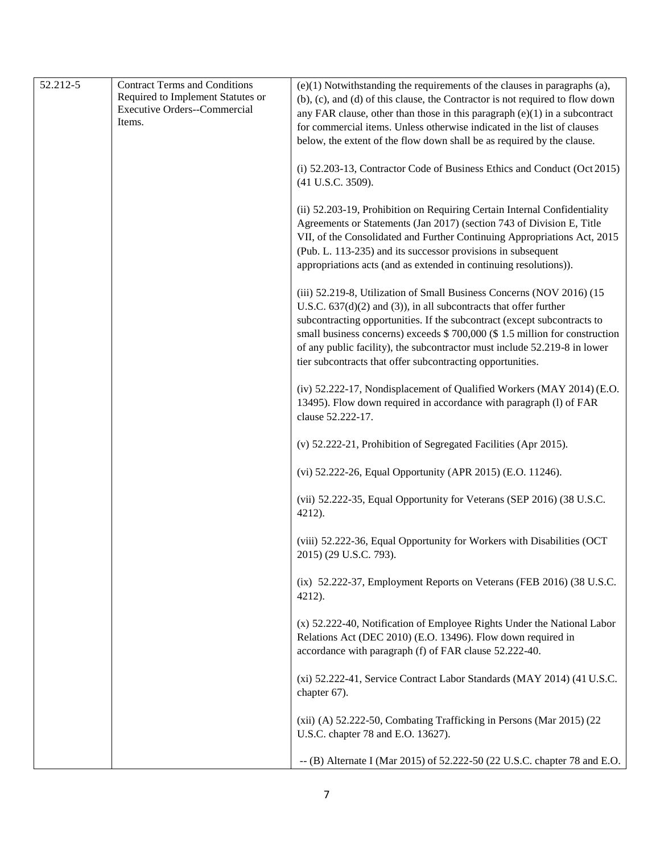| 52.212-5 | <b>Contract Terms and Conditions</b><br>Required to Implement Statutes or | $(e)(1)$ Notwithstanding the requirements of the clauses in paragraphs (a),<br>(b), (c), and (d) of this clause, the Contractor is not required to flow down |
|----------|---------------------------------------------------------------------------|--------------------------------------------------------------------------------------------------------------------------------------------------------------|
|          | <b>Executive Orders--Commercial</b>                                       | any FAR clause, other than those in this paragraph $(e)(1)$ in a subcontract                                                                                 |
|          | Items.                                                                    | for commercial items. Unless otherwise indicated in the list of clauses                                                                                      |
|          |                                                                           | below, the extent of the flow down shall be as required by the clause.                                                                                       |
|          |                                                                           |                                                                                                                                                              |
|          |                                                                           | (i) 52.203-13, Contractor Code of Business Ethics and Conduct (Oct 2015)                                                                                     |
|          |                                                                           | (41 U.S.C. 3509).                                                                                                                                            |
|          |                                                                           | (ii) 52.203-19, Prohibition on Requiring Certain Internal Confidentiality                                                                                    |
|          |                                                                           | Agreements or Statements (Jan 2017) (section 743 of Division E, Title                                                                                        |
|          |                                                                           | VII, of the Consolidated and Further Continuing Appropriations Act, 2015                                                                                     |
|          |                                                                           | (Pub. L. 113-235) and its successor provisions in subsequent                                                                                                 |
|          |                                                                           | appropriations acts (and as extended in continuing resolutions)).                                                                                            |
|          |                                                                           |                                                                                                                                                              |
|          |                                                                           | (iii) 52.219-8, Utilization of Small Business Concerns (NOV 2016) (15<br>U.S.C. $637(d)(2)$ and $(3)$ ), in all subcontracts that offer further              |
|          |                                                                           | subcontracting opportunities. If the subcontract (except subcontracts to                                                                                     |
|          |                                                                           | small business concerns) exceeds \$700,000 (\$1.5 million for construction                                                                                   |
|          |                                                                           | of any public facility), the subcontractor must include 52.219-8 in lower                                                                                    |
|          |                                                                           | tier subcontracts that offer subcontracting opportunities.                                                                                                   |
|          |                                                                           | (iv) 52.222-17, Nondisplacement of Qualified Workers (MAY 2014) (E.O.                                                                                        |
|          |                                                                           | 13495). Flow down required in accordance with paragraph (1) of FAR                                                                                           |
|          |                                                                           | clause 52.222-17.                                                                                                                                            |
|          |                                                                           |                                                                                                                                                              |
|          |                                                                           | (v) 52.222-21, Prohibition of Segregated Facilities (Apr 2015).                                                                                              |
|          |                                                                           | (vi) 52.222-26, Equal Opportunity (APR 2015) (E.O. 11246).                                                                                                   |
|          |                                                                           |                                                                                                                                                              |
|          |                                                                           | (vii) 52.222-35, Equal Opportunity for Veterans (SEP 2016) (38 U.S.C.                                                                                        |
|          |                                                                           | 4212).                                                                                                                                                       |
|          |                                                                           |                                                                                                                                                              |
|          |                                                                           | (viii) 52.222-36, Equal Opportunity for Workers with Disabilities (OCT)<br>2015) (29 U.S.C. 793).                                                            |
|          |                                                                           |                                                                                                                                                              |
|          |                                                                           | (ix) 52.222-37, Employment Reports on Veterans (FEB 2016) (38 U.S.C.                                                                                         |
|          |                                                                           | 4212).                                                                                                                                                       |
|          |                                                                           |                                                                                                                                                              |
|          |                                                                           | (x) 52.222-40, Notification of Employee Rights Under the National Labor<br>Relations Act (DEC 2010) (E.O. 13496). Flow down required in                      |
|          |                                                                           | accordance with paragraph (f) of FAR clause 52.222-40.                                                                                                       |
|          |                                                                           |                                                                                                                                                              |
|          |                                                                           | (xi) 52.222-41, Service Contract Labor Standards (MAY 2014) (41 U.S.C.                                                                                       |
|          |                                                                           | chapter 67).                                                                                                                                                 |
|          |                                                                           |                                                                                                                                                              |
|          |                                                                           | (xii) (A) 52.222-50, Combating Trafficking in Persons (Mar 2015) (22<br>U.S.C. chapter 78 and E.O. 13627).                                                   |
|          |                                                                           |                                                                                                                                                              |
|          |                                                                           | -- (B) Alternate I (Mar 2015) of 52.222-50 (22 U.S.C. chapter 78 and E.O.                                                                                    |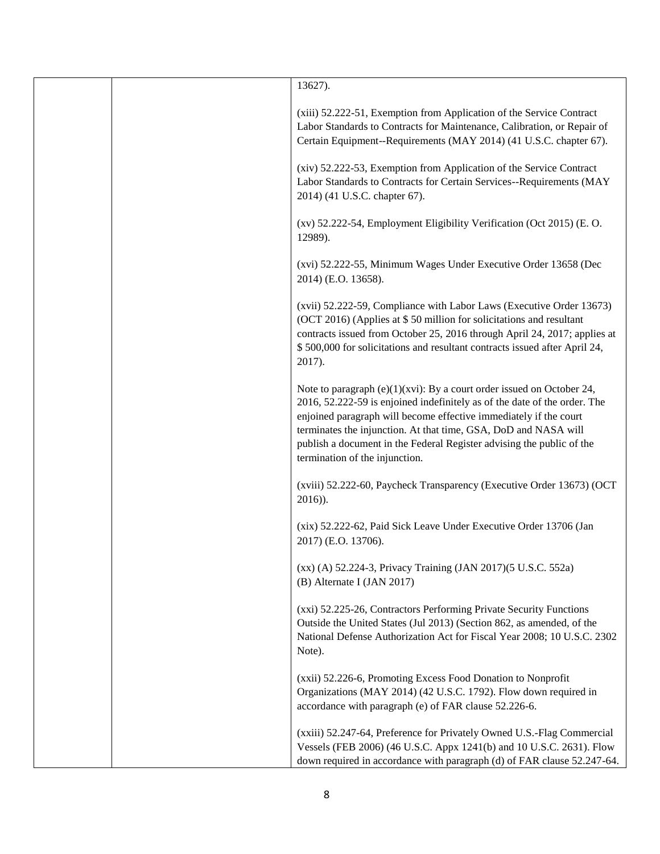|  | 13627).                                                                                                                                                                                                                                                                                                                                                                                               |
|--|-------------------------------------------------------------------------------------------------------------------------------------------------------------------------------------------------------------------------------------------------------------------------------------------------------------------------------------------------------------------------------------------------------|
|  | (xiii) 52.222-51, Exemption from Application of the Service Contract<br>Labor Standards to Contracts for Maintenance, Calibration, or Repair of                                                                                                                                                                                                                                                       |
|  | Certain Equipment--Requirements (MAY 2014) (41 U.S.C. chapter 67).                                                                                                                                                                                                                                                                                                                                    |
|  | (xiv) 52.222-53, Exemption from Application of the Service Contract<br>Labor Standards to Contracts for Certain Services--Requirements (MAY<br>2014) (41 U.S.C. chapter 67).                                                                                                                                                                                                                          |
|  | (xv) 52.222-54, Employment Eligibility Verification (Oct 2015) (E. O.<br>12989).                                                                                                                                                                                                                                                                                                                      |
|  | (xvi) 52.222-55, Minimum Wages Under Executive Order 13658 (Dec<br>2014) (E.O. 13658).                                                                                                                                                                                                                                                                                                                |
|  | (xvii) 52.222-59, Compliance with Labor Laws (Executive Order 13673)<br>(OCT 2016) (Applies at \$50 million for solicitations and resultant<br>contracts issued from October 25, 2016 through April 24, 2017; applies at<br>\$500,000 for solicitations and resultant contracts issued after April 24,<br>2017).                                                                                      |
|  | Note to paragraph (e)(1)(xvi): By a court order issued on October 24,<br>2016, 52.222-59 is enjoined indefinitely as of the date of the order. The<br>enjoined paragraph will become effective immediately if the court<br>terminates the injunction. At that time, GSA, DoD and NASA will<br>publish a document in the Federal Register advising the public of the<br>termination of the injunction. |
|  | (xviii) 52.222-60, Paycheck Transparency (Executive Order 13673) (OCT<br>$2016$ ).                                                                                                                                                                                                                                                                                                                    |
|  | (xix) 52.222-62, Paid Sick Leave Under Executive Order 13706 (Jan<br>2017) (E.O. 13706).                                                                                                                                                                                                                                                                                                              |
|  | (xx) (A) 52.224-3, Privacy Training (JAN 2017)(5 U.S.C. 552a)<br>(B) Alternate I (JAN 2017)                                                                                                                                                                                                                                                                                                           |
|  | (xxi) 52.225-26, Contractors Performing Private Security Functions<br>Outside the United States (Jul 2013) (Section 862, as amended, of the<br>National Defense Authorization Act for Fiscal Year 2008; 10 U.S.C. 2302<br>Note).                                                                                                                                                                      |
|  | (xxii) 52.226-6, Promoting Excess Food Donation to Nonprofit<br>Organizations (MAY 2014) (42 U.S.C. 1792). Flow down required in<br>accordance with paragraph (e) of FAR clause 52.226-6.                                                                                                                                                                                                             |
|  | (xxiii) 52.247-64, Preference for Privately Owned U.S.-Flag Commercial<br>Vessels (FEB 2006) (46 U.S.C. Appx 1241(b) and 10 U.S.C. 2631). Flow<br>down required in accordance with paragraph (d) of FAR clause 52.247-64.                                                                                                                                                                             |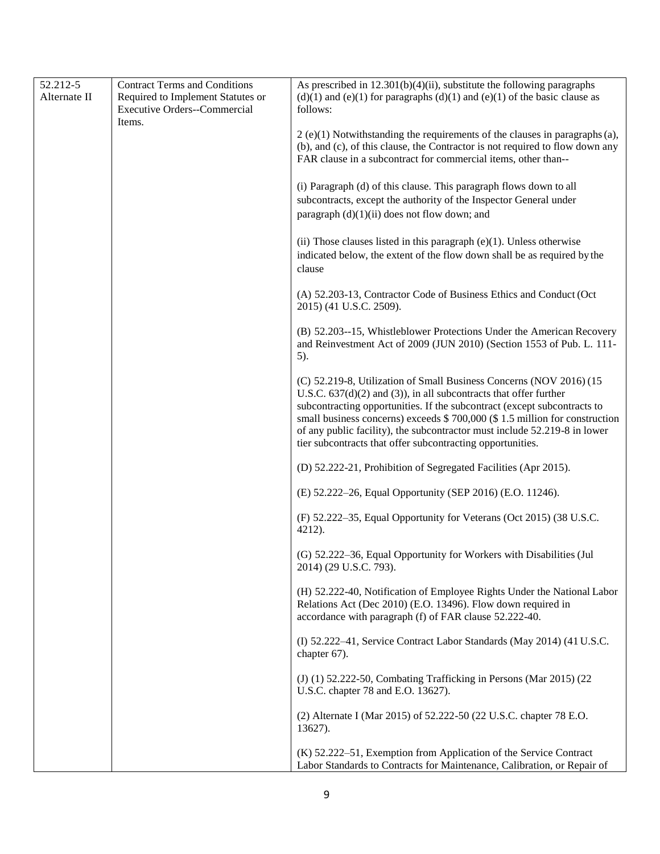| 52.212-5<br>Alternate II | <b>Contract Terms and Conditions</b><br>Required to Implement Statutes or | As prescribed in $12.301(b)(4)(ii)$ , substitute the following paragraphs<br>$(d)(1)$ and $(e)(1)$ for paragraphs $(d)(1)$ and $(e)(1)$ of the basic clause as                                                                                                                                                                                                                                                                                     |
|--------------------------|---------------------------------------------------------------------------|----------------------------------------------------------------------------------------------------------------------------------------------------------------------------------------------------------------------------------------------------------------------------------------------------------------------------------------------------------------------------------------------------------------------------------------------------|
|                          | <b>Executive Orders--Commercial</b>                                       | follows:                                                                                                                                                                                                                                                                                                                                                                                                                                           |
|                          | Items.                                                                    | $2(e)(1)$ Notwithstanding the requirements of the clauses in paragraphs (a),<br>(b), and (c), of this clause, the Contractor is not required to flow down any<br>FAR clause in a subcontract for commercial items, other than--                                                                                                                                                                                                                    |
|                          |                                                                           | (i) Paragraph (d) of this clause. This paragraph flows down to all<br>subcontracts, except the authority of the Inspector General under<br>paragraph $(d)(1)(ii)$ does not flow down; and                                                                                                                                                                                                                                                          |
|                          |                                                                           | (ii) Those clauses listed in this paragraph $(e)(1)$ . Unless otherwise<br>indicated below, the extent of the flow down shall be as required by the<br>clause                                                                                                                                                                                                                                                                                      |
|                          |                                                                           | (A) 52.203-13, Contractor Code of Business Ethics and Conduct (Oct)<br>2015) (41 U.S.C. 2509).                                                                                                                                                                                                                                                                                                                                                     |
|                          |                                                                           | (B) 52.203--15, Whistleblower Protections Under the American Recovery<br>and Reinvestment Act of 2009 (JUN 2010) (Section 1553 of Pub. L. 111-<br>5).                                                                                                                                                                                                                                                                                              |
|                          |                                                                           | (C) 52.219-8, Utilization of Small Business Concerns (NOV 2016) (15<br>U.S.C. $637(d)(2)$ and (3)), in all subcontracts that offer further<br>subcontracting opportunities. If the subcontract (except subcontracts to<br>small business concerns) exceeds $$700,000$ ( $$1.5$ million for construction<br>of any public facility), the subcontractor must include 52.219-8 in lower<br>tier subcontracts that offer subcontracting opportunities. |
|                          |                                                                           | (D) 52.222-21, Prohibition of Segregated Facilities (Apr 2015).                                                                                                                                                                                                                                                                                                                                                                                    |
|                          |                                                                           | (E) 52.222–26, Equal Opportunity (SEP 2016) (E.O. 11246).                                                                                                                                                                                                                                                                                                                                                                                          |
|                          |                                                                           | (F) 52.222–35, Equal Opportunity for Veterans (Oct 2015) (38 U.S.C.<br>4212).                                                                                                                                                                                                                                                                                                                                                                      |
|                          |                                                                           | (G) 52.222-36, Equal Opportunity for Workers with Disabilities (Jul<br>2014) (29 U.S.C. 793).                                                                                                                                                                                                                                                                                                                                                      |
|                          |                                                                           | (H) 52.222-40, Notification of Employee Rights Under the National Labor<br>Relations Act (Dec 2010) (E.O. 13496). Flow down required in<br>accordance with paragraph (f) of FAR clause 52.222-40.                                                                                                                                                                                                                                                  |
|                          |                                                                           | (I) 52.222–41, Service Contract Labor Standards (May 2014) (41 U.S.C.<br>chapter 67).                                                                                                                                                                                                                                                                                                                                                              |
|                          |                                                                           | (J) (1) 52.222-50, Combating Trafficking in Persons (Mar 2015) (22<br>U.S.C. chapter 78 and E.O. 13627).                                                                                                                                                                                                                                                                                                                                           |
|                          |                                                                           | (2) Alternate I (Mar 2015) of 52.222-50 (22 U.S.C. chapter 78 E.O.<br>13627).                                                                                                                                                                                                                                                                                                                                                                      |
|                          |                                                                           | (K) 52.222–51, Exemption from Application of the Service Contract<br>Labor Standards to Contracts for Maintenance, Calibration, or Repair of                                                                                                                                                                                                                                                                                                       |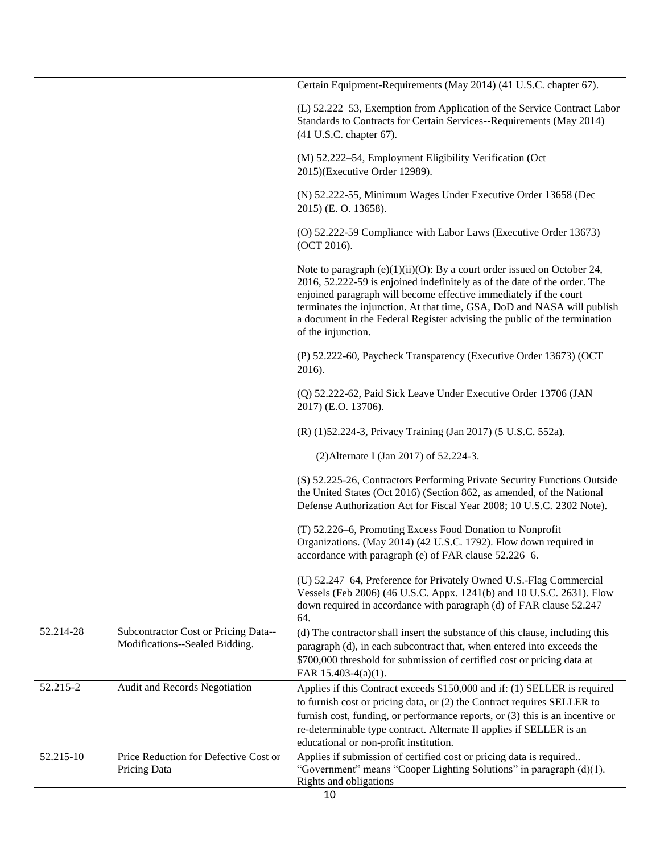|           |                                                                        | Certain Equipment-Requirements (May 2014) (41 U.S.C. chapter 67).                                                                                                                                                                                                                                                                                                                                          |
|-----------|------------------------------------------------------------------------|------------------------------------------------------------------------------------------------------------------------------------------------------------------------------------------------------------------------------------------------------------------------------------------------------------------------------------------------------------------------------------------------------------|
|           |                                                                        | (L) 52.222–53, Exemption from Application of the Service Contract Labor<br>Standards to Contracts for Certain Services--Requirements (May 2014)<br>(41 U.S.C. chapter 67).                                                                                                                                                                                                                                 |
|           |                                                                        | (M) 52.222–54, Employment Eligibility Verification (Oct)<br>2015)(Executive Order 12989).                                                                                                                                                                                                                                                                                                                  |
|           |                                                                        | (N) 52.222-55, Minimum Wages Under Executive Order 13658 (Dec<br>2015) (E. O. 13658).                                                                                                                                                                                                                                                                                                                      |
|           |                                                                        | (O) 52.222-59 Compliance with Labor Laws (Executive Order 13673)<br>(OCT 2016).                                                                                                                                                                                                                                                                                                                            |
|           |                                                                        | Note to paragraph $(e)(1)(ii)(O)$ : By a court order issued on October 24,<br>2016, 52.222-59 is enjoined indefinitely as of the date of the order. The<br>enjoined paragraph will become effective immediately if the court<br>terminates the injunction. At that time, GSA, DoD and NASA will publish<br>a document in the Federal Register advising the public of the termination<br>of the injunction. |
|           |                                                                        | (P) 52.222-60, Paycheck Transparency (Executive Order 13673) (OCT<br>2016).                                                                                                                                                                                                                                                                                                                                |
|           |                                                                        | (Q) 52.222-62, Paid Sick Leave Under Executive Order 13706 (JAN<br>2017) (E.O. 13706).                                                                                                                                                                                                                                                                                                                     |
|           |                                                                        | (R) (1)52.224-3, Privacy Training (Jan 2017) (5 U.S.C. 552a).                                                                                                                                                                                                                                                                                                                                              |
|           |                                                                        | (2) Alternate I (Jan 2017) of 52.224-3.                                                                                                                                                                                                                                                                                                                                                                    |
|           |                                                                        | (S) 52.225-26, Contractors Performing Private Security Functions Outside<br>the United States (Oct 2016) (Section 862, as amended, of the National<br>Defense Authorization Act for Fiscal Year 2008; 10 U.S.C. 2302 Note).                                                                                                                                                                                |
|           |                                                                        | (T) 52.226-6, Promoting Excess Food Donation to Nonprofit<br>Organizations. (May 2014) (42 U.S.C. 1792). Flow down required in<br>accordance with paragraph (e) of FAR clause 52.226-6.                                                                                                                                                                                                                    |
|           |                                                                        | (U) 52.247–64, Preference for Privately Owned U.S.-Flag Commercial<br>Vessels (Feb 2006) (46 U.S.C. Appx. 1241(b) and 10 U.S.C. 2631). Flow<br>down required in accordance with paragraph (d) of FAR clause 52.247-<br>64.                                                                                                                                                                                 |
| 52.214-28 | Subcontractor Cost or Pricing Data--<br>Modifications--Sealed Bidding. | (d) The contractor shall insert the substance of this clause, including this<br>paragraph (d), in each subcontract that, when entered into exceeds the<br>\$700,000 threshold for submission of certified cost or pricing data at<br>FAR $15.403-4(a)(1)$ .                                                                                                                                                |
| 52.215-2  | Audit and Records Negotiation                                          | Applies if this Contract exceeds \$150,000 and if: (1) SELLER is required<br>to furnish cost or pricing data, or (2) the Contract requires SELLER to<br>furnish cost, funding, or performance reports, or $(3)$ this is an incentive or<br>re-determinable type contract. Alternate II applies if SELLER is an<br>educational or non-profit institution.                                                   |
| 52.215-10 | Price Reduction for Defective Cost or<br>Pricing Data                  | Applies if submission of certified cost or pricing data is required<br>"Government" means "Cooper Lighting Solutions" in paragraph (d)(1).<br>Rights and obligations                                                                                                                                                                                                                                       |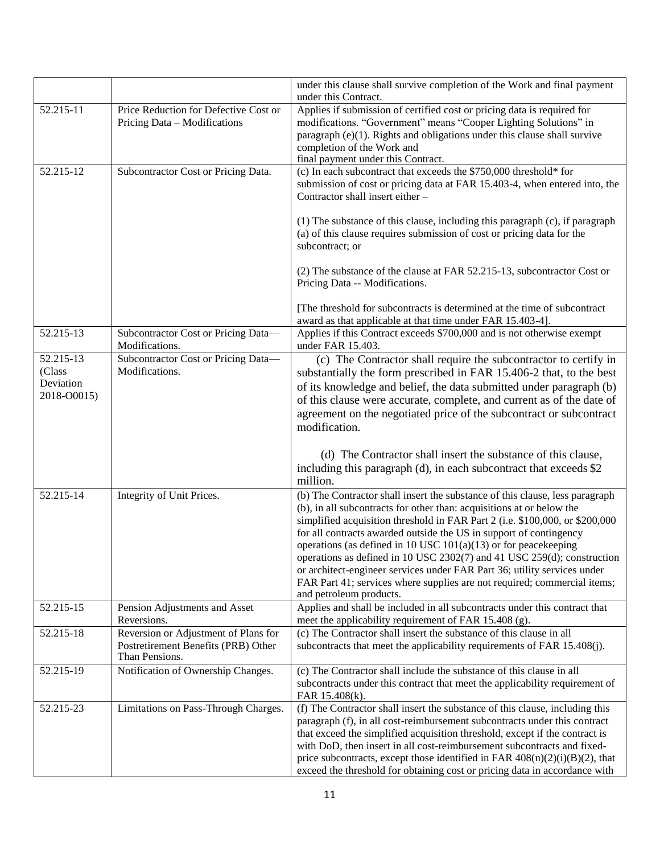|                                                 |                                                                                               | under this clause shall survive completion of the Work and final payment<br>under this Contract.                                                                                                                                                                                                                                                                                                                                                                                                                                                                                                                                               |
|-------------------------------------------------|-----------------------------------------------------------------------------------------------|------------------------------------------------------------------------------------------------------------------------------------------------------------------------------------------------------------------------------------------------------------------------------------------------------------------------------------------------------------------------------------------------------------------------------------------------------------------------------------------------------------------------------------------------------------------------------------------------------------------------------------------------|
| 52.215-11                                       | Price Reduction for Defective Cost or<br>Pricing Data - Modifications                         | Applies if submission of certified cost or pricing data is required for<br>modifications. "Government" means "Cooper Lighting Solutions" in<br>paragraph $(e)(1)$ . Rights and obligations under this clause shall survive<br>completion of the Work and<br>final payment under this Contract.                                                                                                                                                                                                                                                                                                                                                 |
| 52.215-12                                       | Subcontractor Cost or Pricing Data.                                                           | (c) In each subcontract that exceeds the $\sqrt[5]{50,000}$ threshold* for<br>submission of cost or pricing data at FAR 15.403-4, when entered into, the<br>Contractor shall insert either -                                                                                                                                                                                                                                                                                                                                                                                                                                                   |
|                                                 |                                                                                               | (1) The substance of this clause, including this paragraph (c), if paragraph<br>(a) of this clause requires submission of cost or pricing data for the<br>subcontract; or                                                                                                                                                                                                                                                                                                                                                                                                                                                                      |
|                                                 |                                                                                               | (2) The substance of the clause at FAR 52.215-13, subcontractor Cost or<br>Pricing Data -- Modifications.                                                                                                                                                                                                                                                                                                                                                                                                                                                                                                                                      |
|                                                 |                                                                                               | [The threshold for subcontracts is determined at the time of subcontract<br>award as that applicable at that time under FAR 15.403-4].                                                                                                                                                                                                                                                                                                                                                                                                                                                                                                         |
| 52.215-13                                       | Subcontractor Cost or Pricing Data-<br>Modifications.                                         | Applies if this Contract exceeds \$700,000 and is not otherwise exempt<br>under FAR 15.403.                                                                                                                                                                                                                                                                                                                                                                                                                                                                                                                                                    |
| 52.215-13<br>(Class<br>Deviation<br>2018-O0015) | Subcontractor Cost or Pricing Data-<br>Modifications.                                         | (c) The Contractor shall require the subcontractor to certify in<br>substantially the form prescribed in FAR 15.406-2 that, to the best<br>of its knowledge and belief, the data submitted under paragraph (b)<br>of this clause were accurate, complete, and current as of the date of<br>agreement on the negotiated price of the subcontract or subcontract<br>modification.                                                                                                                                                                                                                                                                |
|                                                 |                                                                                               | (d) The Contractor shall insert the substance of this clause,<br>including this paragraph (d), in each subcontract that exceeds \$2<br>million.                                                                                                                                                                                                                                                                                                                                                                                                                                                                                                |
| 52.215-14                                       | Integrity of Unit Prices.                                                                     | (b) The Contractor shall insert the substance of this clause, less paragraph<br>(b), in all subcontracts for other than: acquisitions at or below the<br>simplified acquisition threshold in FAR Part 2 (i.e. \$100,000, or \$200,000<br>for all contracts awarded outside the US in support of contingency<br>operations (as defined in 10 USC $101(a)(13)$ or for peacekeeping<br>operations as defined in 10 USC 2302(7) and 41 USC 259(d); construction<br>or architect-engineer services under FAR Part 36; utility services under<br>FAR Part 41; services where supplies are not required; commercial items;<br>and petroleum products. |
| 52.215-15                                       | Pension Adjustments and Asset<br>Reversions.                                                  | Applies and shall be included in all subcontracts under this contract that<br>meet the applicability requirement of FAR 15.408 (g).                                                                                                                                                                                                                                                                                                                                                                                                                                                                                                            |
| 52.215-18                                       | Reversion or Adjustment of Plans for<br>Postretirement Benefits (PRB) Other<br>Than Pensions. | (c) The Contractor shall insert the substance of this clause in all<br>subcontracts that meet the applicability requirements of FAR 15.408(j).                                                                                                                                                                                                                                                                                                                                                                                                                                                                                                 |
| 52.215-19                                       | Notification of Ownership Changes.                                                            | (c) The Contractor shall include the substance of this clause in all<br>subcontracts under this contract that meet the applicability requirement of<br>FAR 15.408(k).                                                                                                                                                                                                                                                                                                                                                                                                                                                                          |
| 52.215-23                                       | Limitations on Pass-Through Charges.                                                          | (f) The Contractor shall insert the substance of this clause, including this<br>paragraph (f), in all cost-reimbursement subcontracts under this contract<br>that exceed the simplified acquisition threshold, except if the contract is<br>with DoD, then insert in all cost-reimbursement subcontracts and fixed-<br>price subcontracts, except those identified in FAR $408(n)(2)(i)(B)(2)$ , that<br>exceed the threshold for obtaining cost or pricing data in accordance with                                                                                                                                                            |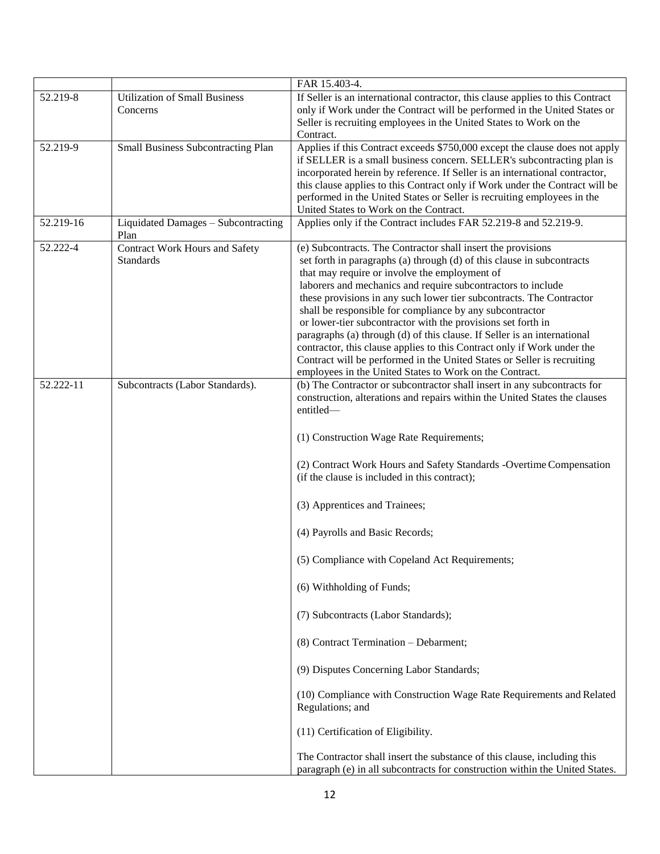|                                                    | FAR 15.403-4.                                                                                                                                                                                                                                                                                                                                                                                                                                                                                                                                                                                                                                                                                                                                                                                                                                                                                                        |
|----------------------------------------------------|----------------------------------------------------------------------------------------------------------------------------------------------------------------------------------------------------------------------------------------------------------------------------------------------------------------------------------------------------------------------------------------------------------------------------------------------------------------------------------------------------------------------------------------------------------------------------------------------------------------------------------------------------------------------------------------------------------------------------------------------------------------------------------------------------------------------------------------------------------------------------------------------------------------------|
| <b>Utilization of Small Business</b><br>Concerns   | If Seller is an international contractor, this clause applies to this Contract<br>only if Work under the Contract will be performed in the United States or<br>Seller is recruiting employees in the United States to Work on the<br>Contract.                                                                                                                                                                                                                                                                                                                                                                                                                                                                                                                                                                                                                                                                       |
| Small Business Subcontracting Plan                 | Applies if this Contract exceeds \$750,000 except the clause does not apply<br>if SELLER is a small business concern. SELLER's subcontracting plan is<br>incorporated herein by reference. If Seller is an international contractor,<br>this clause applies to this Contract only if Work under the Contract will be<br>performed in the United States or Seller is recruiting employees in the<br>United States to Work on the Contract.                                                                                                                                                                                                                                                                                                                                                                                                                                                                            |
| Liquidated Damages - Subcontracting<br>Plan        | Applies only if the Contract includes FAR 52.219-8 and 52.219-9.                                                                                                                                                                                                                                                                                                                                                                                                                                                                                                                                                                                                                                                                                                                                                                                                                                                     |
| Contract Work Hours and Safety<br><b>Standards</b> | (e) Subcontracts. The Contractor shall insert the provisions<br>set forth in paragraphs (a) through (d) of this clause in subcontracts<br>that may require or involve the employment of<br>laborers and mechanics and require subcontractors to include<br>these provisions in any such lower tier subcontracts. The Contractor<br>shall be responsible for compliance by any subcontractor<br>or lower-tier subcontractor with the provisions set forth in<br>paragraphs (a) through (d) of this clause. If Seller is an international<br>contractor, this clause applies to this Contract only if Work under the<br>Contract will be performed in the United States or Seller is recruiting<br>employees in the United States to Work on the Contract.                                                                                                                                                             |
| Subcontracts (Labor Standards).                    | (b) The Contractor or subcontractor shall insert in any subcontracts for<br>construction, alterations and repairs within the United States the clauses<br>entitled-<br>(1) Construction Wage Rate Requirements;<br>(2) Contract Work Hours and Safety Standards -Overtime Compensation<br>(if the clause is included in this contract);<br>(3) Apprentices and Trainees;<br>(4) Payrolls and Basic Records;<br>(5) Compliance with Copeland Act Requirements;<br>(6) Withholding of Funds;<br>(7) Subcontracts (Labor Standards);<br>(8) Contract Termination - Debarment;<br>(9) Disputes Concerning Labor Standards;<br>(10) Compliance with Construction Wage Rate Requirements and Related<br>Regulations; and<br>(11) Certification of Eligibility.<br>The Contractor shall insert the substance of this clause, including this<br>paragraph (e) in all subcontracts for construction within the United States. |
|                                                    |                                                                                                                                                                                                                                                                                                                                                                                                                                                                                                                                                                                                                                                                                                                                                                                                                                                                                                                      |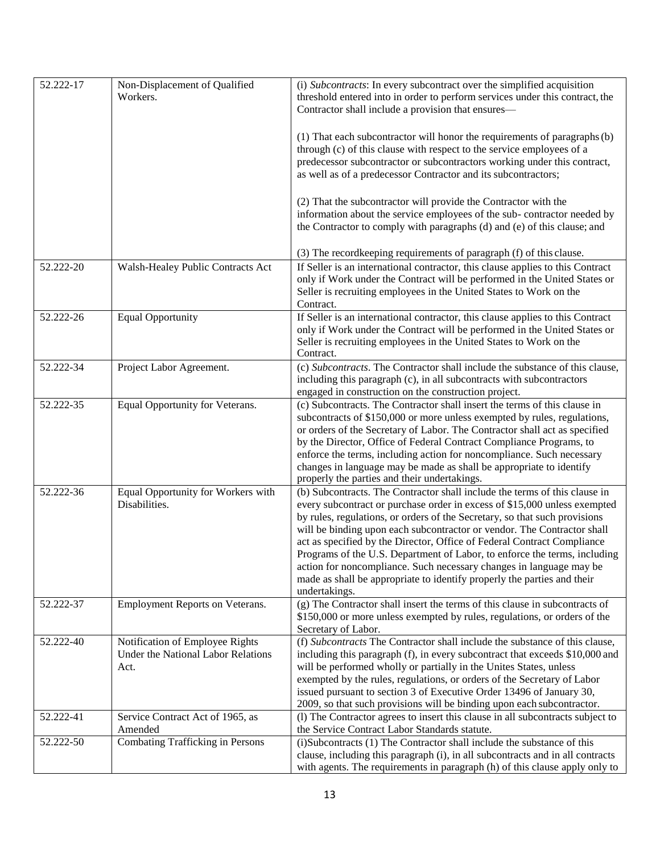| 52.222-17 | Non-Displacement of Qualified                       | (i) Subcontracts: In every subcontract over the simplified acquisition                                                                             |
|-----------|-----------------------------------------------------|----------------------------------------------------------------------------------------------------------------------------------------------------|
|           | Workers.                                            | threshold entered into in order to perform services under this contract, the                                                                       |
|           |                                                     | Contractor shall include a provision that ensures—                                                                                                 |
|           |                                                     |                                                                                                                                                    |
|           |                                                     | (1) That each subcontractor will honor the requirements of paragraphs (b)                                                                          |
|           |                                                     | through (c) of this clause with respect to the service employees of a                                                                              |
|           |                                                     | predecessor subcontractor or subcontractors working under this contract,                                                                           |
|           |                                                     | as well as of a predecessor Contractor and its subcontractors;                                                                                     |
|           |                                                     |                                                                                                                                                    |
|           |                                                     | (2) That the subcontractor will provide the Contractor with the                                                                                    |
|           |                                                     | information about the service employees of the sub-contractor needed by                                                                            |
|           |                                                     | the Contractor to comply with paragraphs (d) and (e) of this clause; and                                                                           |
|           |                                                     |                                                                                                                                                    |
|           |                                                     | (3) The recordkeeping requirements of paragraph (f) of this clause.                                                                                |
| 52.222-20 | Walsh-Healey Public Contracts Act                   | If Seller is an international contractor, this clause applies to this Contract                                                                     |
|           |                                                     | only if Work under the Contract will be performed in the United States or                                                                          |
|           |                                                     | Seller is recruiting employees in the United States to Work on the                                                                                 |
|           |                                                     | Contract.                                                                                                                                          |
| 52.222-26 | <b>Equal Opportunity</b>                            | If Seller is an international contractor, this clause applies to this Contract                                                                     |
|           |                                                     | only if Work under the Contract will be performed in the United States or                                                                          |
|           |                                                     | Seller is recruiting employees in the United States to Work on the                                                                                 |
|           |                                                     | Contract.                                                                                                                                          |
| 52.222-34 | Project Labor Agreement.                            | (c) Subcontracts. The Contractor shall include the substance of this clause,                                                                       |
|           |                                                     | including this paragraph (c), in all subcontracts with subcontractors                                                                              |
|           |                                                     | engaged in construction on the construction project.                                                                                               |
| 52.222-35 | Equal Opportunity for Veterans.                     | (c) Subcontracts. The Contractor shall insert the terms of this clause in                                                                          |
|           |                                                     | subcontracts of \$150,000 or more unless exempted by rules, regulations,                                                                           |
|           |                                                     | or orders of the Secretary of Labor. The Contractor shall act as specified                                                                         |
|           |                                                     | by the Director, Office of Federal Contract Compliance Programs, to                                                                                |
|           |                                                     | enforce the terms, including action for noncompliance. Such necessary                                                                              |
|           |                                                     | changes in language may be made as shall be appropriate to identify                                                                                |
| 52.222-36 |                                                     | properly the parties and their undertakings.                                                                                                       |
|           | Equal Opportunity for Workers with<br>Disabilities. | (b) Subcontracts. The Contractor shall include the terms of this clause in                                                                         |
|           |                                                     | every subcontract or purchase order in excess of \$15,000 unless exempted                                                                          |
|           |                                                     | by rules, regulations, or orders of the Secretary, so that such provisions                                                                         |
|           |                                                     | will be binding upon each subcontractor or vendor. The Contractor shall<br>act as specified by the Director, Office of Federal Contract Compliance |
|           |                                                     | Programs of the U.S. Department of Labor, to enforce the terms, including                                                                          |
|           |                                                     | action for noncompliance. Such necessary changes in language may be                                                                                |
|           |                                                     | made as shall be appropriate to identify properly the parties and their                                                                            |
|           |                                                     | undertakings.                                                                                                                                      |
| 52.222-37 | Employment Reports on Veterans.                     | (g) The Contractor shall insert the terms of this clause in subcontracts of                                                                        |
|           |                                                     | \$150,000 or more unless exempted by rules, regulations, or orders of the                                                                          |
|           |                                                     | Secretary of Labor.                                                                                                                                |
| 52.222-40 | Notification of Employee Rights                     | (f) Subcontracts The Contractor shall include the substance of this clause,                                                                        |
|           | Under the National Labor Relations                  | including this paragraph (f), in every subcontract that exceeds \$10,000 and                                                                       |
|           | Act.                                                | will be performed wholly or partially in the Unites States, unless                                                                                 |
|           |                                                     | exempted by the rules, regulations, or orders of the Secretary of Labor                                                                            |
|           |                                                     | issued pursuant to section 3 of Executive Order 13496 of January 30,                                                                               |
|           |                                                     | 2009, so that such provisions will be binding upon each subcontractor.                                                                             |
| 52.222-41 | Service Contract Act of 1965, as                    | (l) The Contractor agrees to insert this clause in all subcontracts subject to                                                                     |
|           | Amended                                             | the Service Contract Labor Standards statute.                                                                                                      |
| 52.222-50 | <b>Combating Trafficking in Persons</b>             | (i)Subcontracts (1) The Contractor shall include the substance of this                                                                             |
|           |                                                     | clause, including this paragraph (i), in all subcontracts and in all contracts                                                                     |
|           |                                                     | with agents. The requirements in paragraph (h) of this clause apply only to                                                                        |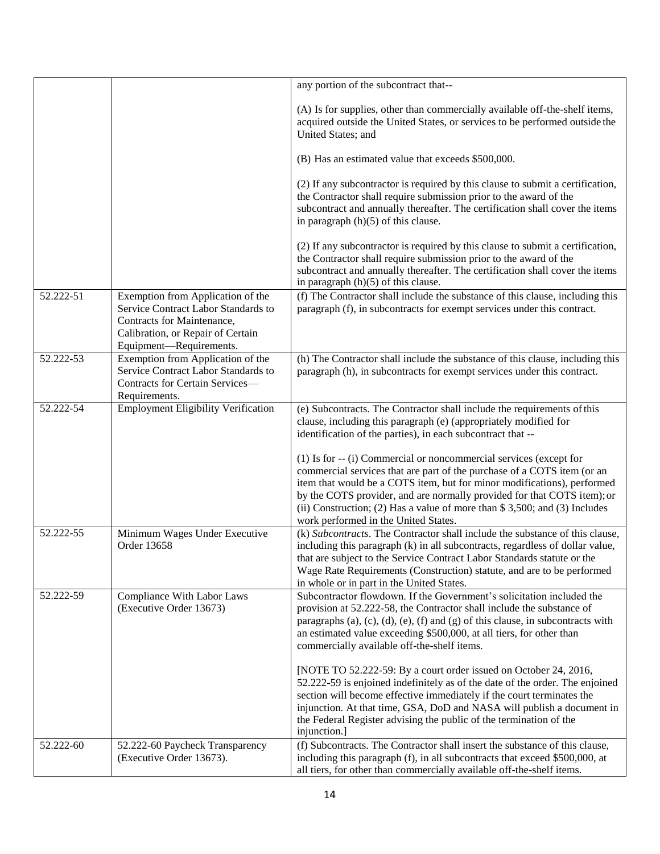|           |                                                                                                                                                                        | any portion of the subcontract that--                                                                                                                                                                                                                                                                                                                                                                                    |
|-----------|------------------------------------------------------------------------------------------------------------------------------------------------------------------------|--------------------------------------------------------------------------------------------------------------------------------------------------------------------------------------------------------------------------------------------------------------------------------------------------------------------------------------------------------------------------------------------------------------------------|
|           |                                                                                                                                                                        | (A) Is for supplies, other than commercially available off-the-shelf items,<br>acquired outside the United States, or services to be performed outside the<br>United States; and                                                                                                                                                                                                                                         |
|           |                                                                                                                                                                        | (B) Has an estimated value that exceeds \$500,000.                                                                                                                                                                                                                                                                                                                                                                       |
|           |                                                                                                                                                                        | (2) If any subcontractor is required by this clause to submit a certification,<br>the Contractor shall require submission prior to the award of the<br>subcontract and annually thereafter. The certification shall cover the items<br>in paragraph $(h)(5)$ of this clause.                                                                                                                                             |
|           |                                                                                                                                                                        | (2) If any subcontractor is required by this clause to submit a certification,<br>the Contractor shall require submission prior to the award of the<br>subcontract and annually thereafter. The certification shall cover the items<br>in paragraph $(h)(5)$ of this clause.                                                                                                                                             |
| 52.222-51 | Exemption from Application of the<br>Service Contract Labor Standards to<br>Contracts for Maintenance,<br>Calibration, or Repair of Certain<br>Equipment-Requirements. | (f) The Contractor shall include the substance of this clause, including this<br>paragraph (f), in subcontracts for exempt services under this contract.                                                                                                                                                                                                                                                                 |
| 52.222-53 | Exemption from Application of the<br>Service Contract Labor Standards to<br>Contracts for Certain Services-<br>Requirements.                                           | (h) The Contractor shall include the substance of this clause, including this<br>paragraph (h), in subcontracts for exempt services under this contract.                                                                                                                                                                                                                                                                 |
| 52.222-54 | <b>Employment Eligibility Verification</b>                                                                                                                             | (e) Subcontracts. The Contractor shall include the requirements of this<br>clause, including this paragraph (e) (appropriately modified for<br>identification of the parties), in each subcontract that --                                                                                                                                                                                                               |
|           |                                                                                                                                                                        | (1) Is for -- (i) Commercial or noncommercial services (except for<br>commercial services that are part of the purchase of a COTS item (or an<br>item that would be a COTS item, but for minor modifications), performed<br>by the COTS provider, and are normally provided for that COTS item); or<br>(ii) Construction; (2) Has a value of more than \$3,500; and (3) Includes<br>work performed in the United States. |
| 52.222-55 | Minimum Wages Under Executive<br>Order 13658                                                                                                                           | (k) Subcontracts. The Contractor shall include the substance of this clause,<br>including this paragraph (k) in all subcontracts, regardless of dollar value,<br>that are subject to the Service Contract Labor Standards statute or the<br>Wage Rate Requirements (Construction) statute, and are to be performed<br>in whole or in part in the United States.                                                          |
| 52.222-59 | <b>Compliance With Labor Laws</b><br>(Executive Order 13673)                                                                                                           | Subcontractor flowdown. If the Government's solicitation included the<br>provision at 52.222-58, the Contractor shall include the substance of<br>paragraphs $(a)$ , $(c)$ , $(d)$ , $(e)$ , $(f)$ and $(g)$ of this clause, in subcontracts with<br>an estimated value exceeding \$500,000, at all tiers, for other than<br>commercially available off-the-shelf items.                                                 |
|           |                                                                                                                                                                        | [NOTE TO 52.222-59: By a court order issued on October 24, 2016,<br>52.222-59 is enjoined indefinitely as of the date of the order. The enjoined<br>section will become effective immediately if the court terminates the<br>injunction. At that time, GSA, DoD and NASA will publish a document in<br>the Federal Register advising the public of the termination of the<br>injunction.]                                |
| 52.222-60 | 52.222-60 Paycheck Transparency<br>(Executive Order 13673).                                                                                                            | (f) Subcontracts. The Contractor shall insert the substance of this clause,<br>including this paragraph (f), in all subcontracts that exceed \$500,000, at<br>all tiers, for other than commercially available off-the-shelf items.                                                                                                                                                                                      |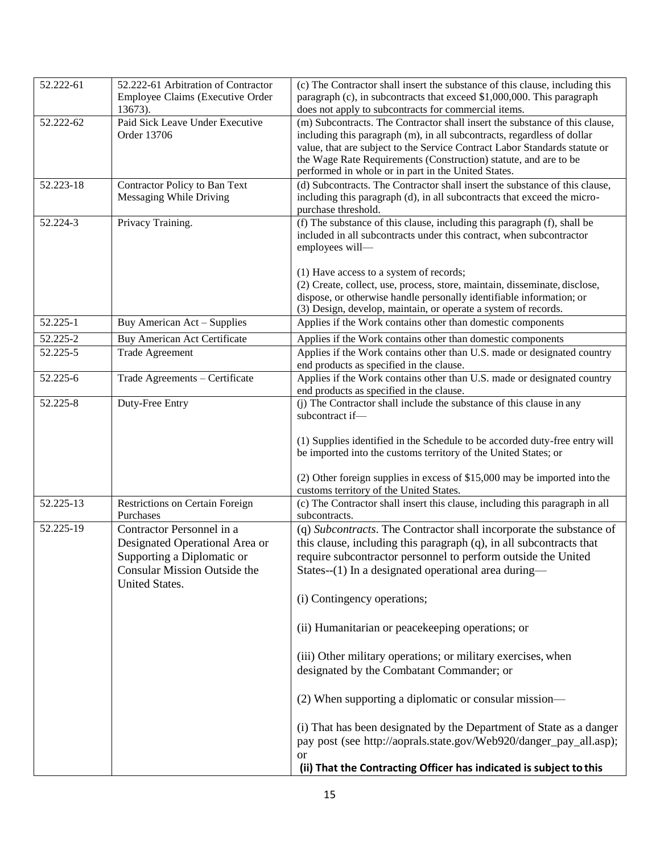| 52.222-61 | 52.222-61 Arbitration of Contractor          | (c) The Contractor shall insert the substance of this clause, including this                                                                          |
|-----------|----------------------------------------------|-------------------------------------------------------------------------------------------------------------------------------------------------------|
|           | Employee Claims (Executive Order             | paragraph (c), in subcontracts that exceed \$1,000,000. This paragraph                                                                                |
|           | 13673).                                      | does not apply to subcontracts for commercial items.                                                                                                  |
| 52.222-62 | Paid Sick Leave Under Executive              | (m) Subcontracts. The Contractor shall insert the substance of this clause,                                                                           |
|           | Order 13706                                  | including this paragraph (m), in all subcontracts, regardless of dollar<br>value, that are subject to the Service Contract Labor Standards statute or |
|           |                                              | the Wage Rate Requirements (Construction) statute, and are to be                                                                                      |
|           |                                              | performed in whole or in part in the United States.                                                                                                   |
| 52.223-18 | <b>Contractor Policy to Ban Text</b>         | (d) Subcontracts. The Contractor shall insert the substance of this clause,                                                                           |
|           | Messaging While Driving                      | including this paragraph (d), in all subcontracts that exceed the micro-                                                                              |
|           |                                              | purchase threshold.                                                                                                                                   |
| 52.224-3  | Privacy Training.                            | (f) The substance of this clause, including this paragraph (f), shall be                                                                              |
|           |                                              | included in all subcontracts under this contract, when subcontractor                                                                                  |
|           |                                              | employees will-                                                                                                                                       |
|           |                                              | (1) Have access to a system of records;                                                                                                               |
|           |                                              | (2) Create, collect, use, process, store, maintain, disseminate, disclose,                                                                            |
|           |                                              | dispose, or otherwise handle personally identifiable information; or                                                                                  |
|           |                                              | (3) Design, develop, maintain, or operate a system of records.                                                                                        |
| 52.225-1  | Buy American Act – Supplies                  | Applies if the Work contains other than domestic components                                                                                           |
| 52.225-2  | <b>Buy American Act Certificate</b>          | Applies if the Work contains other than domestic components                                                                                           |
| 52.225-5  | <b>Trade Agreement</b>                       | Applies if the Work contains other than U.S. made or designated country                                                                               |
|           |                                              | end products as specified in the clause.                                                                                                              |
| 52.225-6  | Trade Agreements - Certificate               | Applies if the Work contains other than U.S. made or designated country                                                                               |
| 52.225-8  | Duty-Free Entry                              | end products as specified in the clause.<br>(i) The Contractor shall include the substance of this clause in any                                      |
|           |                                              | subcontract if-                                                                                                                                       |
|           |                                              |                                                                                                                                                       |
|           |                                              | (1) Supplies identified in the Schedule to be accorded duty-free entry will                                                                           |
|           |                                              | be imported into the customs territory of the United States; or                                                                                       |
|           |                                              |                                                                                                                                                       |
|           |                                              | (2) Other foreign supplies in excess of \$15,000 may be imported into the                                                                             |
| 52.225-13 |                                              | customs territory of the United States.<br>(c) The Contractor shall insert this clause, including this paragraph in all                               |
|           | Restrictions on Certain Foreign<br>Purchases | subcontracts.                                                                                                                                         |
| 52.225-19 | Contractor Personnel in a                    | (q) Subcontracts. The Contractor shall incorporate the substance of                                                                                   |
|           | Designated Operational Area or               | this clause, including this paragraph (q), in all subcontracts that                                                                                   |
|           | Supporting a Diplomatic or                   | require subcontractor personnel to perform outside the United                                                                                         |
|           | <b>Consular Mission Outside the</b>          | States--(1) In a designated operational area during—                                                                                                  |
|           | United States.                               |                                                                                                                                                       |
|           |                                              | (i) Contingency operations;                                                                                                                           |
|           |                                              |                                                                                                                                                       |
|           |                                              | (ii) Humanitarian or peacekeeping operations; or                                                                                                      |
|           |                                              |                                                                                                                                                       |
|           |                                              | (iii) Other military operations; or military exercises, when                                                                                          |
|           |                                              | designated by the Combatant Commander; or                                                                                                             |
|           |                                              |                                                                                                                                                       |
|           |                                              | (2) When supporting a diplomatic or consular mission—                                                                                                 |
|           |                                              |                                                                                                                                                       |
|           |                                              | (i) That has been designated by the Department of State as a danger                                                                                   |
|           |                                              | pay post (see http://aoprals.state.gov/Web920/danger_pay_all.asp);                                                                                    |
|           |                                              | or                                                                                                                                                    |
|           |                                              | (ii) That the Contracting Officer has indicated is subject to this                                                                                    |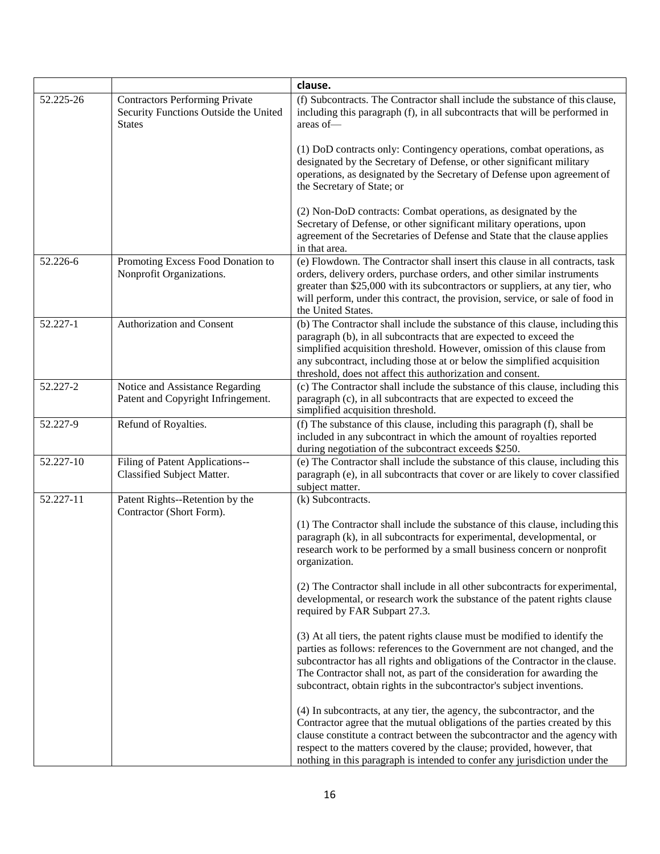|           |                                                                                                 | clause.                                                                                                                                                                                                                                                                                                                                                                                       |
|-----------|-------------------------------------------------------------------------------------------------|-----------------------------------------------------------------------------------------------------------------------------------------------------------------------------------------------------------------------------------------------------------------------------------------------------------------------------------------------------------------------------------------------|
| 52.225-26 | <b>Contractors Performing Private</b><br>Security Functions Outside the United<br><b>States</b> | (f) Subcontracts. The Contractor shall include the substance of this clause,<br>including this paragraph (f), in all subcontracts that will be performed in<br>areas of-                                                                                                                                                                                                                      |
|           |                                                                                                 | (1) DoD contracts only: Contingency operations, combat operations, as<br>designated by the Secretary of Defense, or other significant military<br>operations, as designated by the Secretary of Defense upon agreement of<br>the Secretary of State; or                                                                                                                                       |
|           |                                                                                                 | (2) Non-DoD contracts: Combat operations, as designated by the<br>Secretary of Defense, or other significant military operations, upon<br>agreement of the Secretaries of Defense and State that the clause applies<br>in that area.                                                                                                                                                          |
| 52.226-6  | Promoting Excess Food Donation to<br>Nonprofit Organizations.                                   | (e) Flowdown. The Contractor shall insert this clause in all contracts, task<br>orders, delivery orders, purchase orders, and other similar instruments<br>greater than \$25,000 with its subcontractors or suppliers, at any tier, who<br>will perform, under this contract, the provision, service, or sale of food in<br>the United States.                                                |
| 52.227-1  | Authorization and Consent                                                                       | (b) The Contractor shall include the substance of this clause, including this<br>paragraph (b), in all subcontracts that are expected to exceed the<br>simplified acquisition threshold. However, omission of this clause from<br>any subcontract, including those at or below the simplified acquisition<br>threshold, does not affect this authorization and consent.                       |
| 52.227-2  | Notice and Assistance Regarding<br>Patent and Copyright Infringement.                           | (c) The Contractor shall include the substance of this clause, including this<br>paragraph (c), in all subcontracts that are expected to exceed the<br>simplified acquisition threshold.                                                                                                                                                                                                      |
| 52.227-9  | Refund of Royalties.                                                                            | (f) The substance of this clause, including this paragraph (f), shall be<br>included in any subcontract in which the amount of royalties reported<br>during negotiation of the subcontract exceeds \$250.                                                                                                                                                                                     |
| 52.227-10 | Filing of Patent Applications--<br>Classified Subject Matter.                                   | (e) The Contractor shall include the substance of this clause, including this<br>paragraph (e), in all subcontracts that cover or are likely to cover classified<br>subject matter.                                                                                                                                                                                                           |
| 52.227-11 | Patent Rights--Retention by the<br>Contractor (Short Form).                                     | (k) Subcontracts.<br>(1) The Contractor shall include the substance of this clause, including this<br>paragraph (k), in all subcontracts for experimental, developmental, or<br>research work to be performed by a small business concern or nonprofit<br>organization.                                                                                                                       |
|           |                                                                                                 | (2) The Contractor shall include in all other subcontracts for experimental,<br>developmental, or research work the substance of the patent rights clause<br>required by FAR Subpart 27.3.                                                                                                                                                                                                    |
|           |                                                                                                 | (3) At all tiers, the patent rights clause must be modified to identify the<br>parties as follows: references to the Government are not changed, and the<br>subcontractor has all rights and obligations of the Contractor in the clause.<br>The Contractor shall not, as part of the consideration for awarding the<br>subcontract, obtain rights in the subcontractor's subject inventions. |
|           |                                                                                                 | (4) In subcontracts, at any tier, the agency, the subcontractor, and the<br>Contractor agree that the mutual obligations of the parties created by this<br>clause constitute a contract between the subcontractor and the agency with<br>respect to the matters covered by the clause; provided, however, that<br>nothing in this paragraph is intended to confer any jurisdiction under the  |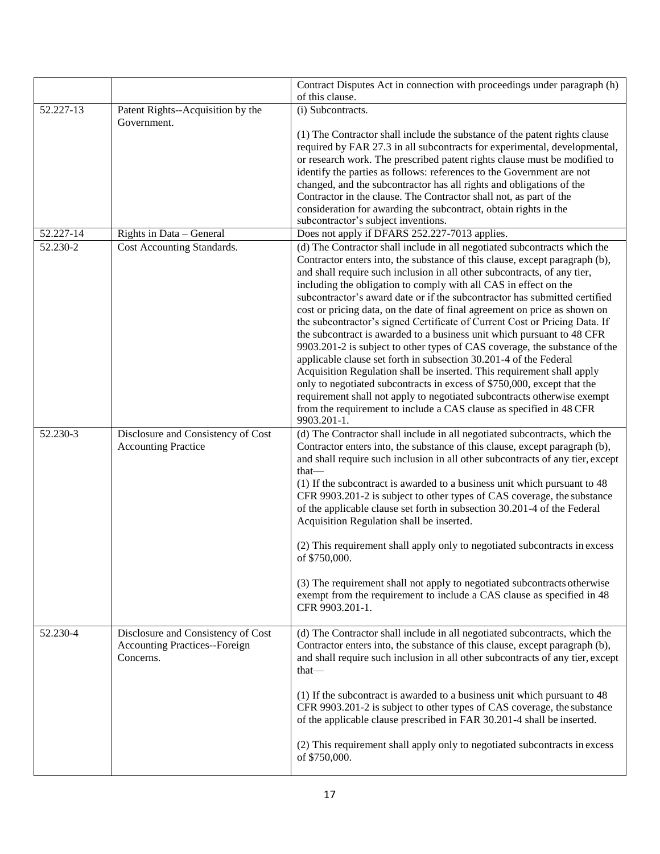|           |                                                                                         | Contract Disputes Act in connection with proceedings under paragraph (h)<br>of this clause.                                                                                                                                                                                                                                                                                                                                                                                                                                                                                                                                                                                                                                                                                                                                                                                                                                                                                                                                                                                                          |
|-----------|-----------------------------------------------------------------------------------------|------------------------------------------------------------------------------------------------------------------------------------------------------------------------------------------------------------------------------------------------------------------------------------------------------------------------------------------------------------------------------------------------------------------------------------------------------------------------------------------------------------------------------------------------------------------------------------------------------------------------------------------------------------------------------------------------------------------------------------------------------------------------------------------------------------------------------------------------------------------------------------------------------------------------------------------------------------------------------------------------------------------------------------------------------------------------------------------------------|
| 52.227-13 | Patent Rights--Acquisition by the                                                       | (i) Subcontracts.                                                                                                                                                                                                                                                                                                                                                                                                                                                                                                                                                                                                                                                                                                                                                                                                                                                                                                                                                                                                                                                                                    |
|           | Government.                                                                             | (1) The Contractor shall include the substance of the patent rights clause<br>required by FAR 27.3 in all subcontracts for experimental, developmental,<br>or research work. The prescribed patent rights clause must be modified to<br>identify the parties as follows: references to the Government are not<br>changed, and the subcontractor has all rights and obligations of the<br>Contractor in the clause. The Contractor shall not, as part of the<br>consideration for awarding the subcontract, obtain rights in the<br>subcontractor's subject inventions.                                                                                                                                                                                                                                                                                                                                                                                                                                                                                                                               |
| 52.227-14 | Rights in Data - General                                                                | Does not apply if DFARS 252.227-7013 applies.                                                                                                                                                                                                                                                                                                                                                                                                                                                                                                                                                                                                                                                                                                                                                                                                                                                                                                                                                                                                                                                        |
| 52.230-2  | Cost Accounting Standards.                                                              | (d) The Contractor shall include in all negotiated subcontracts which the<br>Contractor enters into, the substance of this clause, except paragraph (b),<br>and shall require such inclusion in all other subcontracts, of any tier,<br>including the obligation to comply with all CAS in effect on the<br>subcontractor's award date or if the subcontractor has submitted certified<br>cost or pricing data, on the date of final agreement on price as shown on<br>the subcontractor's signed Certificate of Current Cost or Pricing Data. If<br>the subcontract is awarded to a business unit which pursuant to 48 CFR<br>9903.201-2 is subject to other types of CAS coverage, the substance of the<br>applicable clause set forth in subsection 30.201-4 of the Federal<br>Acquisition Regulation shall be inserted. This requirement shall apply<br>only to negotiated subcontracts in excess of \$750,000, except that the<br>requirement shall not apply to negotiated subcontracts otherwise exempt<br>from the requirement to include a CAS clause as specified in 48 CFR<br>9903.201-1. |
| 52.230-3  | Disclosure and Consistency of Cost<br><b>Accounting Practice</b>                        | (d) The Contractor shall include in all negotiated subcontracts, which the<br>Contractor enters into, the substance of this clause, except paragraph (b),<br>and shall require such inclusion in all other subcontracts of any tier, except<br>$that$ —<br>(1) If the subcontract is awarded to a business unit which pursuant to 48<br>CFR 9903.201-2 is subject to other types of CAS coverage, the substance<br>of the applicable clause set forth in subsection 30.201-4 of the Federal<br>Acquisition Regulation shall be inserted.<br>(2) This requirement shall apply only to negotiated subcontracts in excess<br>of \$750,000.<br>(3) The requirement shall not apply to negotiated subcontracts otherwise<br>exempt from the requirement to include a CAS clause as specified in 48<br>CFR 9903.201-1.                                                                                                                                                                                                                                                                                     |
| 52.230-4  | Disclosure and Consistency of Cost<br><b>Accounting Practices--Foreign</b><br>Concerns. | (d) The Contractor shall include in all negotiated subcontracts, which the<br>Contractor enters into, the substance of this clause, except paragraph (b),<br>and shall require such inclusion in all other subcontracts of any tier, except<br>$that$ —<br>(1) If the subcontract is awarded to a business unit which pursuant to 48<br>CFR 9903.201-2 is subject to other types of CAS coverage, the substance<br>of the applicable clause prescribed in FAR 30.201-4 shall be inserted.<br>(2) This requirement shall apply only to negotiated subcontracts in excess<br>of \$750,000.                                                                                                                                                                                                                                                                                                                                                                                                                                                                                                             |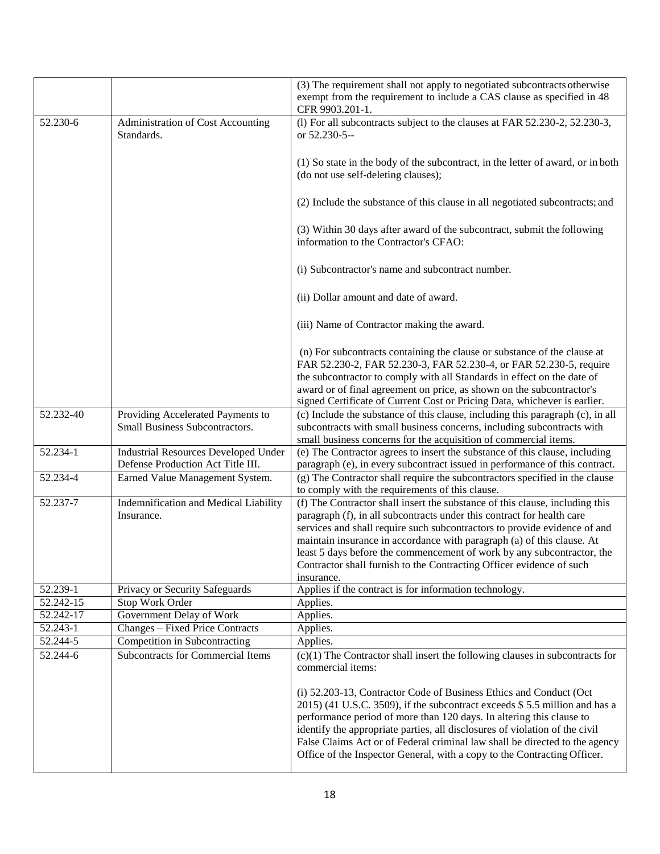|               |                                                                                  | (3) The requirement shall not apply to negotiated subcontracts otherwise                                                                                                                                                                                                                                                                                                                                                                                                      |
|---------------|----------------------------------------------------------------------------------|-------------------------------------------------------------------------------------------------------------------------------------------------------------------------------------------------------------------------------------------------------------------------------------------------------------------------------------------------------------------------------------------------------------------------------------------------------------------------------|
|               |                                                                                  | exempt from the requirement to include a CAS clause as specified in 48<br>CFR 9903.201-1.                                                                                                                                                                                                                                                                                                                                                                                     |
| 52.230-6      | Administration of Cost Accounting<br>Standards.                                  | (l) For all subcontracts subject to the clauses at FAR 52.230-2, 52.230-3,<br>or 52.230-5--                                                                                                                                                                                                                                                                                                                                                                                   |
|               |                                                                                  | (1) So state in the body of the subcontract, in the letter of award, or in both<br>(do not use self-deleting clauses);                                                                                                                                                                                                                                                                                                                                                        |
|               |                                                                                  | (2) Include the substance of this clause in all negotiated subcontracts; and                                                                                                                                                                                                                                                                                                                                                                                                  |
|               |                                                                                  | (3) Within 30 days after award of the subcontract, submit the following<br>information to the Contractor's CFAO:                                                                                                                                                                                                                                                                                                                                                              |
|               |                                                                                  | (i) Subcontractor's name and subcontract number.                                                                                                                                                                                                                                                                                                                                                                                                                              |
|               |                                                                                  | (ii) Dollar amount and date of award.                                                                                                                                                                                                                                                                                                                                                                                                                                         |
|               |                                                                                  | (iii) Name of Contractor making the award.                                                                                                                                                                                                                                                                                                                                                                                                                                    |
|               |                                                                                  | (n) For subcontracts containing the clause or substance of the clause at<br>FAR 52.230-2, FAR 52.230-3, FAR 52.230-4, or FAR 52.230-5, require<br>the subcontractor to comply with all Standards in effect on the date of<br>award or of final agreement on price, as shown on the subcontractor's                                                                                                                                                                            |
|               |                                                                                  | signed Certificate of Current Cost or Pricing Data, whichever is earlier.                                                                                                                                                                                                                                                                                                                                                                                                     |
| 52.232-40     | Providing Accelerated Payments to<br>Small Business Subcontractors.              | (c) Include the substance of this clause, including this paragraph (c), in all<br>subcontracts with small business concerns, including subcontracts with<br>small business concerns for the acquisition of commercial items.                                                                                                                                                                                                                                                  |
| 52.234-1      | <b>Industrial Resources Developed Under</b><br>Defense Production Act Title III. | (e) The Contractor agrees to insert the substance of this clause, including<br>paragraph (e), in every subcontract issued in performance of this contract.                                                                                                                                                                                                                                                                                                                    |
| 52.234-4      | Earned Value Management System.                                                  | (g) The Contractor shall require the subcontractors specified in the clause<br>to comply with the requirements of this clause.                                                                                                                                                                                                                                                                                                                                                |
| 52.237-7      | Indemnification and Medical Liability<br>Insurance.                              | (f) The Contractor shall insert the substance of this clause, including this<br>paragraph (f), in all subcontracts under this contract for health care<br>services and shall require such subcontractors to provide evidence of and<br>maintain insurance in accordance with paragraph (a) of this clause. At<br>least 5 days before the commencement of work by any subcontractor, the<br>Contractor shall furnish to the Contracting Officer evidence of such<br>insurance. |
| 52.239-1      | Privacy or Security Safeguards                                                   | Applies if the contract is for information technology.                                                                                                                                                                                                                                                                                                                                                                                                                        |
| $52.242 - 15$ | Stop Work Order                                                                  | Applies.                                                                                                                                                                                                                                                                                                                                                                                                                                                                      |
| $52.242 - 17$ | Government Delay of Work                                                         | Applies.                                                                                                                                                                                                                                                                                                                                                                                                                                                                      |
| $52.243 - 1$  | <b>Changes - Fixed Price Contracts</b>                                           | Applies.                                                                                                                                                                                                                                                                                                                                                                                                                                                                      |
| $52.244 - 5$  | Competition in Subcontracting                                                    | Applies.                                                                                                                                                                                                                                                                                                                                                                                                                                                                      |
| 52.244-6      | <b>Subcontracts for Commercial Items</b>                                         | $(c)(1)$ The Contractor shall insert the following clauses in subcontracts for<br>commercial items:                                                                                                                                                                                                                                                                                                                                                                           |
|               |                                                                                  | (i) 52.203-13, Contractor Code of Business Ethics and Conduct (Oct)<br>2015) (41 U.S.C. 3509), if the subcontract exceeds \$5.5 million and has a<br>performance period of more than 120 days. In altering this clause to<br>identify the appropriate parties, all disclosures of violation of the civil<br>False Claims Act or of Federal criminal law shall be directed to the agency<br>Office of the Inspector General, with a copy to the Contracting Officer.           |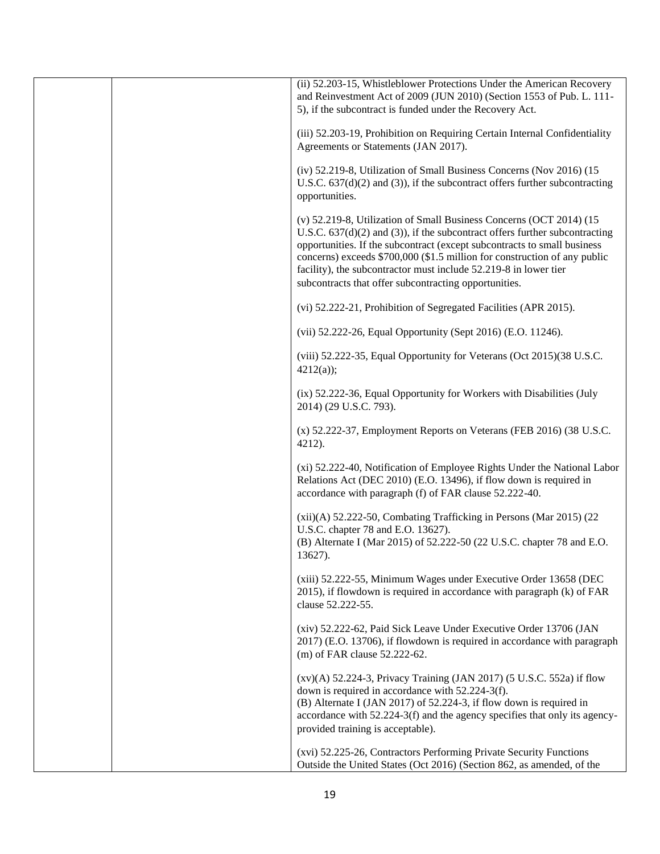| (ii) 52.203-15, Whistleblower Protections Under the American Recovery<br>and Reinvestment Act of 2009 (JUN 2010) (Section 1553 of Pub. L. 111-<br>5), if the subcontract is funded under the Recovery Act.                                                                                                                                                                                                                                 |
|--------------------------------------------------------------------------------------------------------------------------------------------------------------------------------------------------------------------------------------------------------------------------------------------------------------------------------------------------------------------------------------------------------------------------------------------|
| (iii) 52.203-19, Prohibition on Requiring Certain Internal Confidentiality<br>Agreements or Statements (JAN 2017).                                                                                                                                                                                                                                                                                                                         |
| (iv) 52.219-8, Utilization of Small Business Concerns (Nov 2016) (15<br>U.S.C. $637(d)(2)$ and (3)), if the subcontract offers further subcontracting<br>opportunities.                                                                                                                                                                                                                                                                    |
| (v) 52.219-8, Utilization of Small Business Concerns (OCT 2014) (15<br>U.S.C. $637(d)(2)$ and (3)), if the subcontract offers further subcontracting<br>opportunities. If the subcontract (except subcontracts to small business<br>concerns) exceeds \$700,000 (\$1.5 million for construction of any public<br>facility), the subcontractor must include 52.219-8 in lower tier<br>subcontracts that offer subcontracting opportunities. |
| (vi) 52.222-21, Prohibition of Segregated Facilities (APR 2015).                                                                                                                                                                                                                                                                                                                                                                           |
| (vii) 52.222-26, Equal Opportunity (Sept 2016) (E.O. 11246).                                                                                                                                                                                                                                                                                                                                                                               |
| (viii) 52.222-35, Equal Opportunity for Veterans (Oct 2015)(38 U.S.C.<br>$4212(a)$ ;                                                                                                                                                                                                                                                                                                                                                       |
| (ix) 52.222-36, Equal Opportunity for Workers with Disabilities (July<br>2014) (29 U.S.C. 793).                                                                                                                                                                                                                                                                                                                                            |
| $(x)$ 52.222-37, Employment Reports on Veterans (FEB 2016) (38 U.S.C.<br>4212).                                                                                                                                                                                                                                                                                                                                                            |
| (xi) 52.222-40, Notification of Employee Rights Under the National Labor<br>Relations Act (DEC 2010) (E.O. 13496), if flow down is required in<br>accordance with paragraph (f) of FAR clause 52.222-40.                                                                                                                                                                                                                                   |
| (xii)(A) 52.222-50, Combating Trafficking in Persons (Mar 2015) (22<br>U.S.C. chapter 78 and E.O. 13627).<br>(B) Alternate I (Mar 2015) of 52.222-50 (22 U.S.C. chapter 78 and E.O.<br>13627).                                                                                                                                                                                                                                             |
| (xiii) 52.222-55, Minimum Wages under Executive Order 13658 (DEC<br>2015), if flowdown is required in accordance with paragraph (k) of FAR<br>clause 52.222-55.                                                                                                                                                                                                                                                                            |
| (xiv) 52.222-62, Paid Sick Leave Under Executive Order 13706 (JAN<br>2017) (E.O. 13706), if flowdown is required in accordance with paragraph<br>(m) of FAR clause 52.222-62.                                                                                                                                                                                                                                                              |
| (xv)(A) 52.224-3, Privacy Training (JAN 2017) (5 U.S.C. 552a) if flow<br>down is required in accordance with 52.224-3(f).<br>(B) Alternate I (JAN 2017) of 52.224-3, if flow down is required in<br>accordance with 52.224-3(f) and the agency specifies that only its agency-<br>provided training is acceptable).                                                                                                                        |
| (xvi) 52.225-26, Contractors Performing Private Security Functions<br>Outside the United States (Oct 2016) (Section 862, as amended, of the                                                                                                                                                                                                                                                                                                |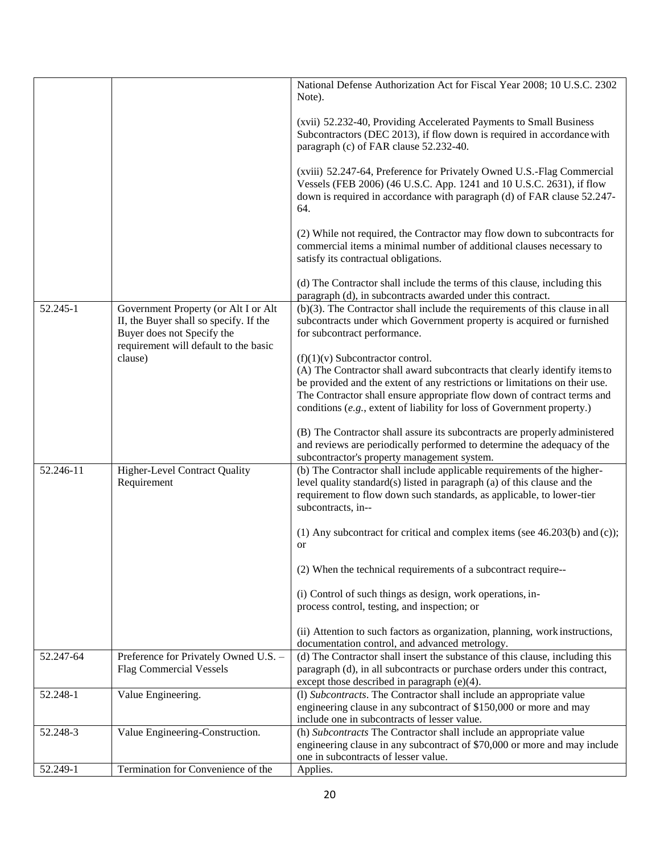|           |                                                                                                                                                       | National Defense Authorization Act for Fiscal Year 2008; 10 U.S.C. 2302<br>Note).                                                                                                                                                                                                                                                                     |
|-----------|-------------------------------------------------------------------------------------------------------------------------------------------------------|-------------------------------------------------------------------------------------------------------------------------------------------------------------------------------------------------------------------------------------------------------------------------------------------------------------------------------------------------------|
|           |                                                                                                                                                       | (xvii) 52.232-40, Providing Accelerated Payments to Small Business<br>Subcontractors (DEC 2013), if flow down is required in accordance with<br>paragraph (c) of FAR clause 52.232-40.                                                                                                                                                                |
|           |                                                                                                                                                       | (xviii) 52.247-64, Preference for Privately Owned U.S.-Flag Commercial<br>Vessels (FEB 2006) (46 U.S.C. App. 1241 and 10 U.S.C. 2631), if flow<br>down is required in accordance with paragraph (d) of FAR clause 52.247-<br>64.                                                                                                                      |
|           |                                                                                                                                                       | (2) While not required, the Contractor may flow down to subcontracts for<br>commercial items a minimal number of additional clauses necessary to<br>satisfy its contractual obligations.                                                                                                                                                              |
|           |                                                                                                                                                       | (d) The Contractor shall include the terms of this clause, including this<br>paragraph (d), in subcontracts awarded under this contract.                                                                                                                                                                                                              |
| 52.245-1  | Government Property (or Alt I or Alt<br>II, the Buyer shall so specify. If the<br>Buyer does not Specify the<br>requirement will default to the basic | $(b)(3)$ . The Contractor shall include the requirements of this clause in all<br>subcontracts under which Government property is acquired or furnished<br>for subcontract performance.                                                                                                                                                               |
|           | clause)                                                                                                                                               | $(f)(1)(v)$ Subcontractor control.<br>(A) The Contractor shall award subcontracts that clearly identify items to<br>be provided and the extent of any restrictions or limitations on their use.<br>The Contractor shall ensure appropriate flow down of contract terms and<br>conditions (e.g., extent of liability for loss of Government property.) |
|           |                                                                                                                                                       | (B) The Contractor shall assure its subcontracts are properly administered<br>and reviews are periodically performed to determine the adequacy of the<br>subcontractor's property management system.                                                                                                                                                  |
| 52.246-11 | Higher-Level Contract Quality<br>Requirement                                                                                                          | (b) The Contractor shall include applicable requirements of the higher-<br>level quality standard(s) listed in paragraph (a) of this clause and the<br>requirement to flow down such standards, as applicable, to lower-tier<br>subcontracts, in--                                                                                                    |
|           |                                                                                                                                                       | (1) Any subcontract for critical and complex items (see $46.203(b)$ and (c));<br>or                                                                                                                                                                                                                                                                   |
|           |                                                                                                                                                       | (2) When the technical requirements of a subcontract require--                                                                                                                                                                                                                                                                                        |
|           |                                                                                                                                                       | (i) Control of such things as design, work operations, in-<br>process control, testing, and inspection; or                                                                                                                                                                                                                                            |
|           |                                                                                                                                                       | (ii) Attention to such factors as organization, planning, work instructions,<br>documentation control, and advanced metrology.                                                                                                                                                                                                                        |
| 52.247-64 | Preference for Privately Owned U.S. -<br><b>Flag Commercial Vessels</b>                                                                               | (d) The Contractor shall insert the substance of this clause, including this<br>paragraph (d), in all subcontracts or purchase orders under this contract,<br>except those described in paragraph (e)(4).                                                                                                                                             |
| 52.248-1  | Value Engineering.                                                                                                                                    | (1) Subcontracts. The Contractor shall include an appropriate value<br>engineering clause in any subcontract of \$150,000 or more and may<br>include one in subcontracts of lesser value.                                                                                                                                                             |
| 52.248-3  | Value Engineering-Construction.                                                                                                                       | (h) Subcontracts The Contractor shall include an appropriate value<br>engineering clause in any subcontract of \$70,000 or more and may include                                                                                                                                                                                                       |
| 52.249-1  | Termination for Convenience of the                                                                                                                    | one in subcontracts of lesser value.<br>Applies.                                                                                                                                                                                                                                                                                                      |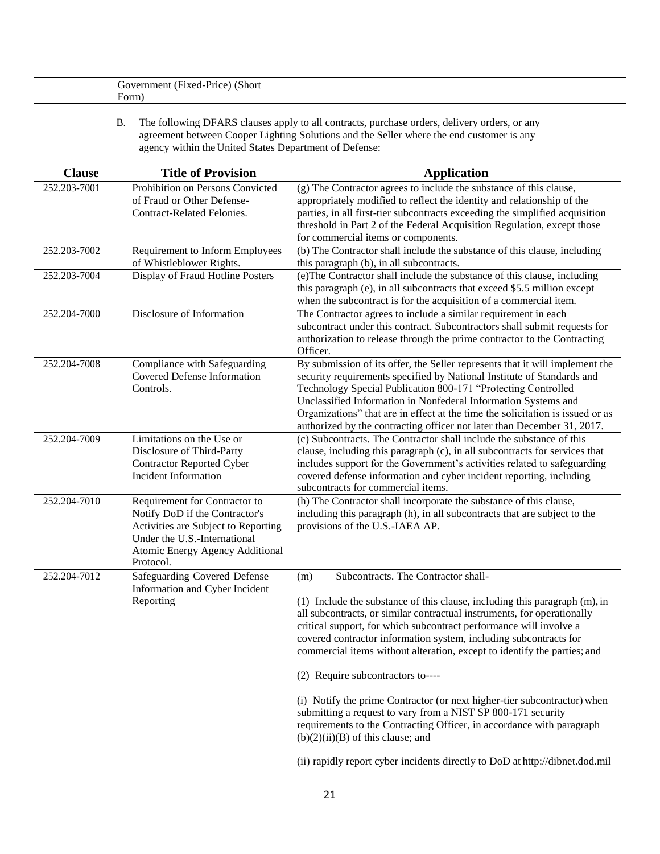| $\sim$ $\sim$ $\sim$<br>÷<br><b>Short</b><br>$1.144 \, \wedge$<br>$11 \times 0$<br>T)<br>·r nc<br>1 L<br>-. . - |  |
|-----------------------------------------------------------------------------------------------------------------|--|
| Form,                                                                                                           |  |

B. The following DFARS clauses apply to all contracts, purchase orders, delivery orders, or any agreement between Cooper Lighting Solutions and the Seller where the end customer is any agency within the United States Department of Defense:

| <b>Clause</b> | <b>Title of Provision</b>                                                                                                                                                              | <b>Application</b>                                                                                                                                                                                                                                                                                                                                                                                                                                                                                                                                                                                                                                                                                                                                                                                          |
|---------------|----------------------------------------------------------------------------------------------------------------------------------------------------------------------------------------|-------------------------------------------------------------------------------------------------------------------------------------------------------------------------------------------------------------------------------------------------------------------------------------------------------------------------------------------------------------------------------------------------------------------------------------------------------------------------------------------------------------------------------------------------------------------------------------------------------------------------------------------------------------------------------------------------------------------------------------------------------------------------------------------------------------|
| 252.203-7001  | Prohibition on Persons Convicted<br>of Fraud or Other Defense-<br>Contract-Related Felonies.                                                                                           | (g) The Contractor agrees to include the substance of this clause,<br>appropriately modified to reflect the identity and relationship of the<br>parties, in all first-tier subcontracts exceeding the simplified acquisition<br>threshold in Part 2 of the Federal Acquisition Regulation, except those<br>for commercial items or components.                                                                                                                                                                                                                                                                                                                                                                                                                                                              |
| 252.203-7002  | Requirement to Inform Employees<br>of Whistleblower Rights.                                                                                                                            | (b) The Contractor shall include the substance of this clause, including<br>this paragraph (b), in all subcontracts.                                                                                                                                                                                                                                                                                                                                                                                                                                                                                                                                                                                                                                                                                        |
| 252.203-7004  | Display of Fraud Hotline Posters                                                                                                                                                       | (e) The Contractor shall include the substance of this clause, including<br>this paragraph (e), in all subcontracts that exceed \$5.5 million except<br>when the subcontract is for the acquisition of a commercial item.                                                                                                                                                                                                                                                                                                                                                                                                                                                                                                                                                                                   |
| 252.204-7000  | Disclosure of Information                                                                                                                                                              | The Contractor agrees to include a similar requirement in each<br>subcontract under this contract. Subcontractors shall submit requests for<br>authorization to release through the prime contractor to the Contracting<br>Officer.                                                                                                                                                                                                                                                                                                                                                                                                                                                                                                                                                                         |
| 252.204-7008  | Compliance with Safeguarding<br><b>Covered Defense Information</b><br>Controls.                                                                                                        | By submission of its offer, the Seller represents that it will implement the<br>security requirements specified by National Institute of Standards and<br>Technology Special Publication 800-171 "Protecting Controlled<br>Unclassified Information in Nonfederal Information Systems and<br>Organizations" that are in effect at the time the solicitation is issued or as<br>authorized by the contracting officer not later than December 31, 2017.                                                                                                                                                                                                                                                                                                                                                      |
| 252.204-7009  | Limitations on the Use or<br>Disclosure of Third-Party<br><b>Contractor Reported Cyber</b><br><b>Incident Information</b>                                                              | (c) Subcontracts. The Contractor shall include the substance of this<br>clause, including this paragraph (c), in all subcontracts for services that<br>includes support for the Government's activities related to safeguarding<br>covered defense information and cyber incident reporting, including<br>subcontracts for commercial items.                                                                                                                                                                                                                                                                                                                                                                                                                                                                |
| 252.204-7010  | Requirement for Contractor to<br>Notify DoD if the Contractor's<br>Activities are Subject to Reporting<br>Under the U.S.-International<br>Atomic Energy Agency Additional<br>Protocol. | (h) The Contractor shall incorporate the substance of this clause,<br>including this paragraph (h), in all subcontracts that are subject to the<br>provisions of the U.S.-IAEA AP.                                                                                                                                                                                                                                                                                                                                                                                                                                                                                                                                                                                                                          |
| 252.204-7012  | Safeguarding Covered Defense<br>Information and Cyber Incident<br>Reporting                                                                                                            | Subcontracts. The Contractor shall-<br>(m)<br>(1) Include the substance of this clause, including this paragraph (m), in<br>all subcontracts, or similar contractual instruments, for operationally<br>critical support, for which subcontract performance will involve a<br>covered contractor information system, including subcontracts for<br>commercial items without alteration, except to identify the parties; and<br>(2) Require subcontractors to----<br>(i) Notify the prime Contractor (or next higher-tier subcontractor) when<br>submitting a request to vary from a NIST SP 800-171 security<br>requirements to the Contracting Officer, in accordance with paragraph<br>$(b)(2)(ii)(B)$ of this clause; and<br>(ii) rapidly report cyber incidents directly to DoD at http://dibnet.dod.mil |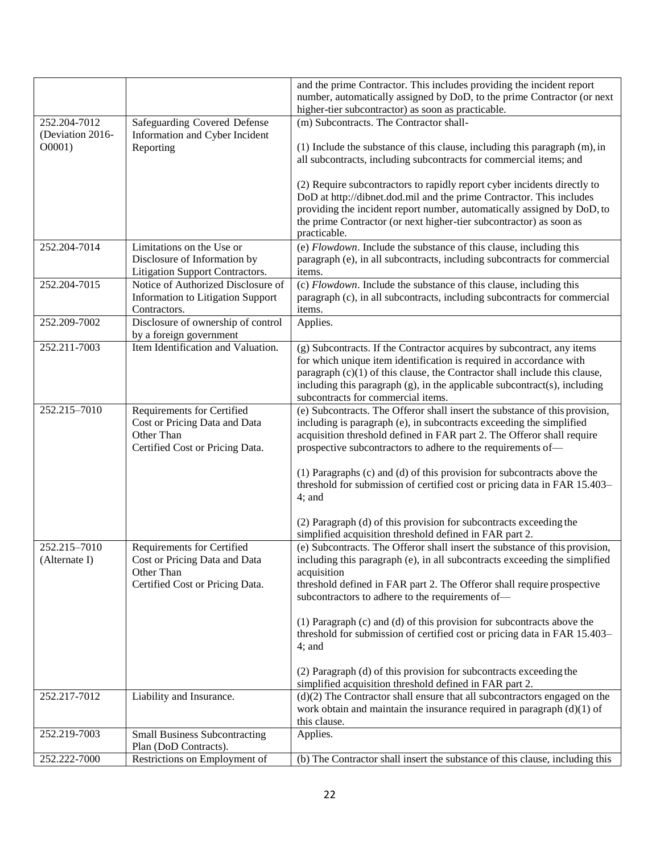|                  |                                          | and the prime Contractor. This includes providing the incident report            |
|------------------|------------------------------------------|----------------------------------------------------------------------------------|
|                  |                                          | number, automatically assigned by DoD, to the prime Contractor (or next          |
|                  |                                          |                                                                                  |
|                  |                                          | higher-tier subcontractor) as soon as practicable.                               |
| 252.204-7012     | Safeguarding Covered Defense             | (m) Subcontracts. The Contractor shall-                                          |
| (Deviation 2016- | Information and Cyber Incident           |                                                                                  |
| $00001$ )        | Reporting                                | (1) Include the substance of this clause, including this paragraph (m), in       |
|                  |                                          | all subcontracts, including subcontracts for commercial items; and               |
|                  |                                          |                                                                                  |
|                  |                                          | (2) Require subcontractors to rapidly report cyber incidents directly to         |
|                  |                                          | DoD at http://dibnet.dod.mil and the prime Contractor. This includes             |
|                  |                                          | providing the incident report number, automatically assigned by DoD, to          |
|                  |                                          | the prime Contractor (or next higher-tier subcontractor) as soon as              |
|                  |                                          | practicable.                                                                     |
| 252.204-7014     | Limitations on the Use or                | (e) Flowdown. Include the substance of this clause, including this               |
|                  | Disclosure of Information by             | paragraph (e), in all subcontracts, including subcontracts for commercial        |
|                  | Litigation Support Contractors.          | items.                                                                           |
| 252.204-7015     | Notice of Authorized Disclosure of       | (c) Flowdown. Include the substance of this clause, including this               |
|                  | <b>Information to Litigation Support</b> | paragraph (c), in all subcontracts, including subcontracts for commercial        |
|                  | Contractors.                             | items.                                                                           |
| 252.209-7002     | Disclosure of ownership of control       | Applies.                                                                         |
|                  | by a foreign government                  |                                                                                  |
| 252.211-7003     | Item Identification and Valuation.       | (g) Subcontracts. If the Contractor acquires by subcontract, any items           |
|                  |                                          | for which unique item identification is required in accordance with              |
|                  |                                          | paragraph $(c)(1)$ of this clause, the Contractor shall include this clause,     |
|                  |                                          | including this paragraph $(g)$ , in the applicable subcontract $(s)$ , including |
|                  |                                          | subcontracts for commercial items.                                               |
| 252.215-7010     | Requirements for Certified               | (e) Subcontracts. The Offeror shall insert the substance of this provision,      |
|                  | Cost or Pricing Data and Data            | including is paragraph (e), in subcontracts exceeding the simplified             |
|                  | Other Than                               | acquisition threshold defined in FAR part 2. The Offeror shall require           |
|                  | Certified Cost or Pricing Data.          | prospective subcontractors to adhere to the requirements of-                     |
|                  |                                          |                                                                                  |
|                  |                                          | (1) Paragraphs (c) and (d) of this provision for subcontracts above the          |
|                  |                                          | threshold for submission of certified cost or pricing data in FAR 15.403-        |
|                  |                                          | $4$ ; and                                                                        |
|                  |                                          |                                                                                  |
|                  |                                          | (2) Paragraph (d) of this provision for subcontracts exceeding the               |
|                  |                                          | simplified acquisition threshold defined in FAR part 2.                          |
| 252.215-7010     | Requirements for Certified               | (e) Subcontracts. The Offeror shall insert the substance of this provision,      |
| (Alternate I)    | Cost or Pricing Data and Data            | including this paragraph (e), in all subcontracts exceeding the simplified       |
|                  | Other Than                               | acquisition                                                                      |
|                  | Certified Cost or Pricing Data.          | threshold defined in FAR part 2. The Offeror shall require prospective           |
|                  |                                          | subcontractors to adhere to the requirements of-                                 |
|                  |                                          |                                                                                  |
|                  |                                          | (1) Paragraph (c) and (d) of this provision for subcontracts above the           |
|                  |                                          | threshold for submission of certified cost or pricing data in FAR 15.403-        |
|                  |                                          | $4$ ; and                                                                        |
|                  |                                          |                                                                                  |
|                  |                                          | (2) Paragraph (d) of this provision for subcontracts exceeding the               |
|                  |                                          | simplified acquisition threshold defined in FAR part 2.                          |
| 252.217-7012     | Liability and Insurance.                 | $(d)(2)$ The Contractor shall ensure that all subcontractors engaged on the      |
|                  |                                          | work obtain and maintain the insurance required in paragraph $(d)(1)$ of         |
|                  |                                          | this clause.                                                                     |
| 252.219-7003     | <b>Small Business Subcontracting</b>     | Applies.                                                                         |
|                  | Plan (DoD Contracts).                    |                                                                                  |
| 252.222-7000     | Restrictions on Employment of            | (b) The Contractor shall insert the substance of this clause, including this     |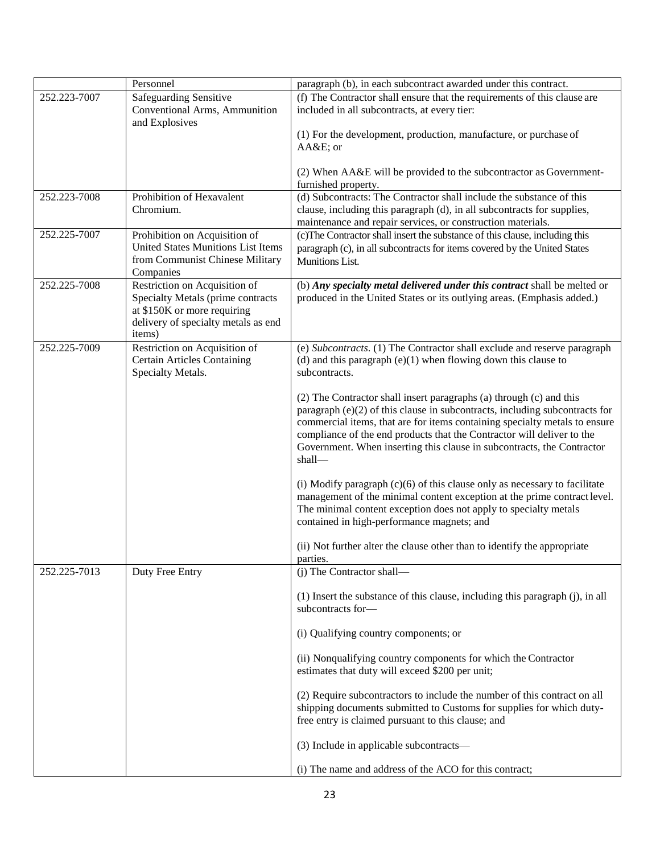|              | Personnel                                                                                                                                          | paragraph (b), in each subcontract awarded under this contract.                                                                                                                                                                                                                                                                                                                                  |
|--------------|----------------------------------------------------------------------------------------------------------------------------------------------------|--------------------------------------------------------------------------------------------------------------------------------------------------------------------------------------------------------------------------------------------------------------------------------------------------------------------------------------------------------------------------------------------------|
| 252.223-7007 | Safeguarding Sensitive<br>Conventional Arms, Ammunition                                                                                            | (f) The Contractor shall ensure that the requirements of this clause are<br>included in all subcontracts, at every tier:                                                                                                                                                                                                                                                                         |
|              | and Explosives                                                                                                                                     | (1) For the development, production, manufacture, or purchase of<br>AA&E or                                                                                                                                                                                                                                                                                                                      |
|              |                                                                                                                                                    | (2) When AA&E will be provided to the subcontractor as Government-<br>furnished property.                                                                                                                                                                                                                                                                                                        |
| 252.223-7008 | Prohibition of Hexavalent<br>Chromium.                                                                                                             | (d) Subcontracts: The Contractor shall include the substance of this<br>clause, including this paragraph (d), in all subcontracts for supplies,<br>maintenance and repair services, or construction materials.                                                                                                                                                                                   |
| 252.225-7007 | Prohibition on Acquisition of<br>United States Munitions List Items<br>from Communist Chinese Military<br>Companies                                | (c) The Contractor shall insert the substance of this clause, including this<br>paragraph (c), in all subcontracts for items covered by the United States<br>Munitions List.                                                                                                                                                                                                                     |
| 252.225-7008 | Restriction on Acquisition of<br>Specialty Metals (prime contracts<br>at \$150K or more requiring<br>delivery of specialty metals as end<br>items) | (b) Any specialty metal delivered under this contract shall be melted or<br>produced in the United States or its outlying areas. (Emphasis added.)                                                                                                                                                                                                                                               |
| 252.225-7009 | Restriction on Acquisition of<br><b>Certain Articles Containing</b><br>Specialty Metals.                                                           | (e) Subcontracts. (1) The Contractor shall exclude and reserve paragraph<br>(d) and this paragraph $(e)(1)$ when flowing down this clause to<br>subcontracts.                                                                                                                                                                                                                                    |
|              |                                                                                                                                                    | (2) The Contractor shall insert paragraphs (a) through (c) and this<br>paragraph $(e)(2)$ of this clause in subcontracts, including subcontracts for<br>commercial items, that are for items containing specialty metals to ensure<br>compliance of the end products that the Contractor will deliver to the<br>Government. When inserting this clause in subcontracts, the Contractor<br>shall- |
|              |                                                                                                                                                    | $(i)$ Modify paragraph $(c)(6)$ of this clause only as necessary to facilitate<br>management of the minimal content exception at the prime contract level.<br>The minimal content exception does not apply to specialty metals<br>contained in high-performance magnets; and                                                                                                                     |
|              |                                                                                                                                                    | (ii) Not further alter the clause other than to identify the appropriate<br>parties.                                                                                                                                                                                                                                                                                                             |
| 252.225-7013 | Duty Free Entry                                                                                                                                    | (i) The Contractor shall—                                                                                                                                                                                                                                                                                                                                                                        |
|              |                                                                                                                                                    | (1) Insert the substance of this clause, including this paragraph (j), in all<br>subcontracts for-                                                                                                                                                                                                                                                                                               |
|              |                                                                                                                                                    | (i) Qualifying country components; or                                                                                                                                                                                                                                                                                                                                                            |
|              |                                                                                                                                                    | (ii) Nonqualifying country components for which the Contractor<br>estimates that duty will exceed \$200 per unit;                                                                                                                                                                                                                                                                                |
|              |                                                                                                                                                    | (2) Require subcontractors to include the number of this contract on all<br>shipping documents submitted to Customs for supplies for which duty-<br>free entry is claimed pursuant to this clause; and                                                                                                                                                                                           |
|              |                                                                                                                                                    | (3) Include in applicable subcontracts-                                                                                                                                                                                                                                                                                                                                                          |
|              |                                                                                                                                                    | (i) The name and address of the ACO for this contract;                                                                                                                                                                                                                                                                                                                                           |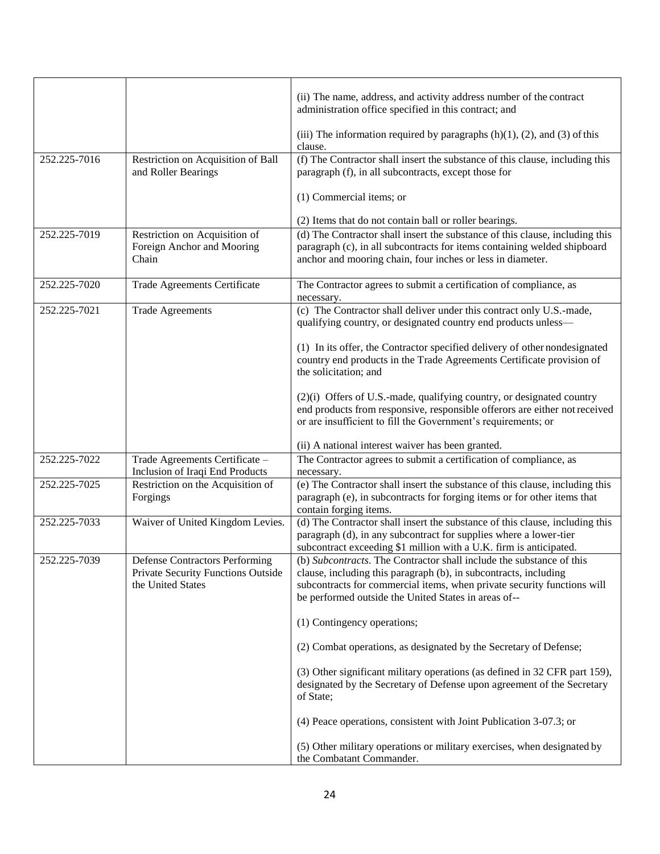|              |                                                                                                  | (ii) The name, address, and activity address number of the contract<br>administration office specified in this contract; and<br>(iii) The information required by paragraphs $(h)(1)$ , $(2)$ , and $(3)$ of this                                                           |
|--------------|--------------------------------------------------------------------------------------------------|-----------------------------------------------------------------------------------------------------------------------------------------------------------------------------------------------------------------------------------------------------------------------------|
|              |                                                                                                  | clause.                                                                                                                                                                                                                                                                     |
| 252.225-7016 | Restriction on Acquisition of Ball<br>and Roller Bearings                                        | (f) The Contractor shall insert the substance of this clause, including this<br>paragraph (f), in all subcontracts, except those for                                                                                                                                        |
|              |                                                                                                  | (1) Commercial items; or                                                                                                                                                                                                                                                    |
|              |                                                                                                  | (2) Items that do not contain ball or roller bearings.                                                                                                                                                                                                                      |
| 252.225-7019 | Restriction on Acquisition of<br>Foreign Anchor and Mooring<br>Chain                             | (d) The Contractor shall insert the substance of this clause, including this<br>paragraph (c), in all subcontracts for items containing welded shipboard<br>anchor and mooring chain, four inches or less in diameter.                                                      |
| 252.225-7020 | Trade Agreements Certificate                                                                     | The Contractor agrees to submit a certification of compliance, as<br>necessary.                                                                                                                                                                                             |
| 252.225-7021 | <b>Trade Agreements</b>                                                                          | (c) The Contractor shall deliver under this contract only U.S.-made,<br>qualifying country, or designated country end products unless-                                                                                                                                      |
|              |                                                                                                  | (1) In its offer, the Contractor specified delivery of other nondesignated<br>country end products in the Trade Agreements Certificate provision of<br>the solicitation; and                                                                                                |
|              |                                                                                                  | (2)(i) Offers of U.S.-made, qualifying country, or designated country<br>end products from responsive, responsible offerors are either not received<br>or are insufficient to fill the Government's requirements; or                                                        |
|              |                                                                                                  | (ii) A national interest waiver has been granted.                                                                                                                                                                                                                           |
| 252.225-7022 | Trade Agreements Certificate -<br>Inclusion of Iraqi End Products                                | The Contractor agrees to submit a certification of compliance, as<br>necessary.                                                                                                                                                                                             |
| 252.225-7025 | Restriction on the Acquisition of<br>Forgings                                                    | (e) The Contractor shall insert the substance of this clause, including this<br>paragraph (e), in subcontracts for forging items or for other items that<br>contain forging items.                                                                                          |
| 252.225-7033 | Waiver of United Kingdom Levies.                                                                 | (d) The Contractor shall insert the substance of this clause, including this<br>paragraph (d), in any subcontract for supplies where a lower-tier<br>subcontract exceeding \$1 million with a U.K. firm is anticipated.                                                     |
| 252.225-7039 | <b>Defense Contractors Performing</b><br>Private Security Functions Outside<br>the United States | (b) Subcontracts. The Contractor shall include the substance of this<br>clause, including this paragraph (b), in subcontracts, including<br>subcontracts for commercial items, when private security functions will<br>be performed outside the United States in areas of-- |
|              |                                                                                                  | (1) Contingency operations;                                                                                                                                                                                                                                                 |
|              |                                                                                                  | (2) Combat operations, as designated by the Secretary of Defense;                                                                                                                                                                                                           |
|              |                                                                                                  | (3) Other significant military operations (as defined in 32 CFR part 159),<br>designated by the Secretary of Defense upon agreement of the Secretary<br>of State;                                                                                                           |
|              |                                                                                                  | (4) Peace operations, consistent with Joint Publication 3-07.3; or                                                                                                                                                                                                          |
|              |                                                                                                  | (5) Other military operations or military exercises, when designated by<br>the Combatant Commander.                                                                                                                                                                         |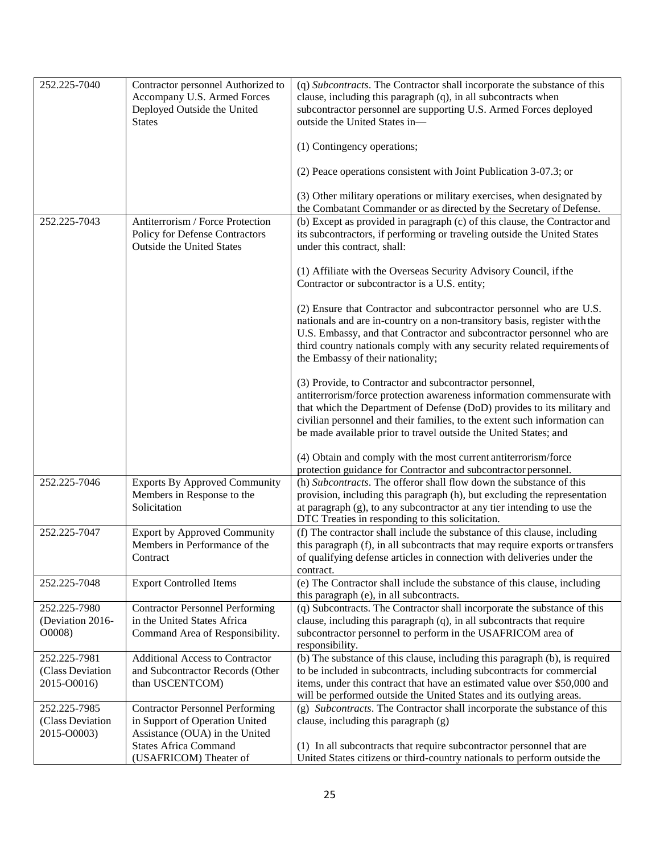| 252.225-7040                                    | Contractor personnel Authorized to<br>Accompany U.S. Armed Forces<br>Deployed Outside the United<br><b>States</b> | (q) Subcontracts. The Contractor shall incorporate the substance of this<br>clause, including this paragraph (q), in all subcontracts when<br>subcontractor personnel are supporting U.S. Armed Forces deployed<br>outside the United States in-                                                                                                              |
|-------------------------------------------------|-------------------------------------------------------------------------------------------------------------------|---------------------------------------------------------------------------------------------------------------------------------------------------------------------------------------------------------------------------------------------------------------------------------------------------------------------------------------------------------------|
|                                                 |                                                                                                                   | (1) Contingency operations;                                                                                                                                                                                                                                                                                                                                   |
|                                                 |                                                                                                                   | (2) Peace operations consistent with Joint Publication 3-07.3; or                                                                                                                                                                                                                                                                                             |
|                                                 |                                                                                                                   | (3) Other military operations or military exercises, when designated by<br>the Combatant Commander or as directed by the Secretary of Defense.                                                                                                                                                                                                                |
| 252.225-7043                                    | Antiterrorism / Force Protection<br>Policy for Defense Contractors<br><b>Outside the United States</b>            | (b) Except as provided in paragraph (c) of this clause, the Contractor and<br>its subcontractors, if performing or traveling outside the United States<br>under this contract, shall:                                                                                                                                                                         |
|                                                 |                                                                                                                   | (1) Affiliate with the Overseas Security Advisory Council, if the<br>Contractor or subcontractor is a U.S. entity;                                                                                                                                                                                                                                            |
|                                                 |                                                                                                                   | (2) Ensure that Contractor and subcontractor personnel who are U.S.<br>nationals and are in-country on a non-transitory basis, register with the<br>U.S. Embassy, and that Contractor and subcontractor personnel who are<br>third country nationals comply with any security related requirements of<br>the Embassy of their nationality;                    |
|                                                 |                                                                                                                   | (3) Provide, to Contractor and subcontractor personnel,<br>antiterrorism/force protection awareness information commensurate with<br>that which the Department of Defense (DoD) provides to its military and<br>civilian personnel and their families, to the extent such information can<br>be made available prior to travel outside the United States; and |
|                                                 |                                                                                                                   | (4) Obtain and comply with the most current antiterrorism/force<br>protection guidance for Contractor and subcontractor personnel.                                                                                                                                                                                                                            |
| 252.225-7046                                    | <b>Exports By Approved Community</b><br>Members in Response to the<br>Solicitation                                | (h) Subcontracts. The offeror shall flow down the substance of this<br>provision, including this paragraph (h), but excluding the representation<br>at paragraph $(g)$ , to any subcontractor at any tier intending to use the<br>DTC Treaties in responding to this solicitation.                                                                            |
| 252.225-7047                                    | <b>Export by Approved Community</b><br>Members in Performance of the<br>Contract                                  | (f) The contractor shall include the substance of this clause, including<br>this paragraph (f), in all subcontracts that may require exports or transfers<br>of qualifying defense articles in connection with deliveries under the<br>contract.                                                                                                              |
| 252.225-7048                                    | <b>Export Controlled Items</b>                                                                                    | (e) The Contractor shall include the substance of this clause, including<br>this paragraph (e), in all subcontracts.                                                                                                                                                                                                                                          |
| 252.225-7980<br>(Deviation 2016-<br>$00008$ )   | <b>Contractor Personnel Performing</b><br>in the United States Africa<br>Command Area of Responsibility.          | (q) Subcontracts. The Contractor shall incorporate the substance of this<br>clause, including this paragraph (q), in all subcontracts that require<br>subcontractor personnel to perform in the USAFRICOM area of<br>responsibility.                                                                                                                          |
| 252.225-7981<br>(Class Deviation<br>2015-O0016) | <b>Additional Access to Contractor</b><br>and Subcontractor Records (Other<br>than USCENTCOM)                     | (b) The substance of this clause, including this paragraph (b), is required<br>to be included in subcontracts, including subcontracts for commercial<br>items, under this contract that have an estimated value over \$50,000 and<br>will be performed outside the United States and its outlying areas.                                                      |
| 252.225-7985<br>(Class Deviation<br>2015-O0003) | <b>Contractor Personnel Performing</b><br>in Support of Operation United<br>Assistance (OUA) in the United        | (g) Subcontracts. The Contractor shall incorporate the substance of this<br>clause, including this paragraph (g)                                                                                                                                                                                                                                              |
|                                                 | <b>States Africa Command</b><br>(USAFRICOM) Theater of                                                            | (1) In all subcontracts that require subcontractor personnel that are<br>United States citizens or third-country nationals to perform outside the                                                                                                                                                                                                             |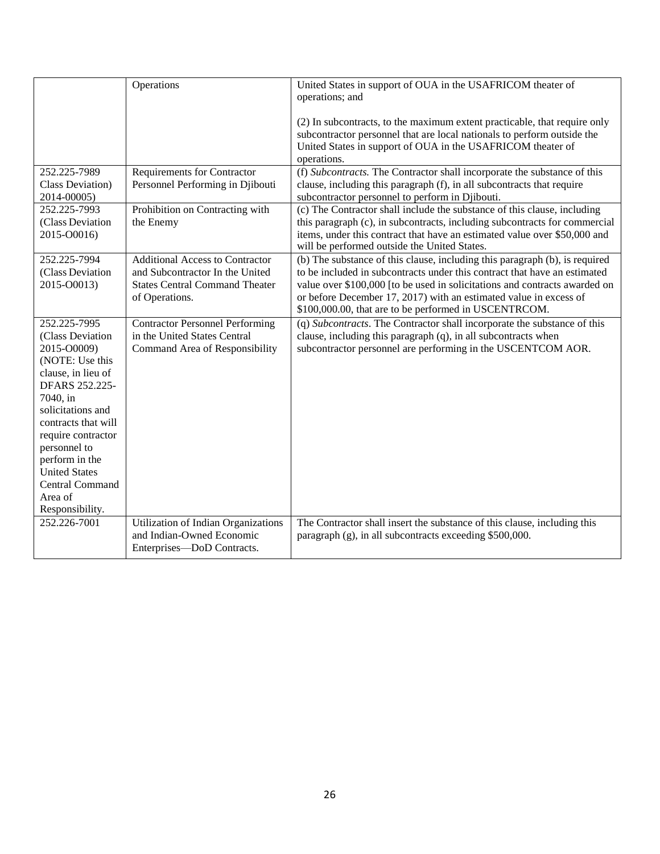|                          | Operations                                                       | United States in support of OUA in the USAFRICOM theater of                                                                                                                                                                        |
|--------------------------|------------------------------------------------------------------|------------------------------------------------------------------------------------------------------------------------------------------------------------------------------------------------------------------------------------|
|                          |                                                                  | operations; and                                                                                                                                                                                                                    |
|                          |                                                                  | (2) In subcontracts, to the maximum extent practicable, that require only<br>subcontractor personnel that are local nationals to perform outside the<br>United States in support of OUA in the USAFRICOM theater of<br>operations. |
| 252.225-7989             | Requirements for Contractor                                      | (f) Subcontracts. The Contractor shall incorporate the substance of this                                                                                                                                                           |
| <b>Class Deviation</b> ) | Personnel Performing in Djibouti                                 | clause, including this paragraph (f), in all subcontracts that require                                                                                                                                                             |
| 2014-00005)              |                                                                  | subcontractor personnel to perform in Djibouti.                                                                                                                                                                                    |
| 252.225-7993             | Prohibition on Contracting with                                  | (c) The Contractor shall include the substance of this clause, including                                                                                                                                                           |
| (Class Deviation         | the Enemy                                                        | this paragraph (c), in subcontracts, including subcontracts for commercial                                                                                                                                                         |
| 2015-00016)              |                                                                  | items, under this contract that have an estimated value over \$50,000 and<br>will be performed outside the United States.                                                                                                          |
| 252.225-7994             | <b>Additional Access to Contractor</b>                           | (b) The substance of this clause, including this paragraph (b), is required                                                                                                                                                        |
| (Class Deviation)        | and Subcontractor In the United                                  | to be included in subcontracts under this contract that have an estimated                                                                                                                                                          |
| 2015-00013)              | <b>States Central Command Theater</b>                            | value over \$100,000 [to be used in solicitations and contracts awarded on                                                                                                                                                         |
|                          | of Operations.                                                   | or before December 17, 2017) with an estimated value in excess of                                                                                                                                                                  |
|                          |                                                                  | \$100,000.00, that are to be performed in USCENTRCOM.                                                                                                                                                                              |
| 252.225-7995             | <b>Contractor Personnel Performing</b>                           | (q) Subcontracts. The Contractor shall incorporate the substance of this                                                                                                                                                           |
| (Class Deviation         | in the United States Central                                     | clause, including this paragraph (q), in all subcontracts when                                                                                                                                                                     |
| 2015-O0009)              | Command Area of Responsibility                                   | subcontractor personnel are performing in the USCENTCOM AOR.                                                                                                                                                                       |
| (NOTE: Use this          |                                                                  |                                                                                                                                                                                                                                    |
| clause, in lieu of       |                                                                  |                                                                                                                                                                                                                                    |
| DFARS 252.225-           |                                                                  |                                                                                                                                                                                                                                    |
| 7040, in                 |                                                                  |                                                                                                                                                                                                                                    |
| solicitations and        |                                                                  |                                                                                                                                                                                                                                    |
| contracts that will      |                                                                  |                                                                                                                                                                                                                                    |
| require contractor       |                                                                  |                                                                                                                                                                                                                                    |
| personnel to             |                                                                  |                                                                                                                                                                                                                                    |
| perform in the           |                                                                  |                                                                                                                                                                                                                                    |
| <b>United States</b>     |                                                                  |                                                                                                                                                                                                                                    |
| <b>Central Command</b>   |                                                                  |                                                                                                                                                                                                                                    |
| Area of                  |                                                                  |                                                                                                                                                                                                                                    |
| Responsibility.          |                                                                  |                                                                                                                                                                                                                                    |
| 252.226-7001             | Utilization of Indian Organizations<br>and Indian-Owned Economic | The Contractor shall insert the substance of this clause, including this                                                                                                                                                           |
|                          |                                                                  | paragraph (g), in all subcontracts exceeding \$500,000.                                                                                                                                                                            |
|                          | Enterprises-DoD Contracts.                                       |                                                                                                                                                                                                                                    |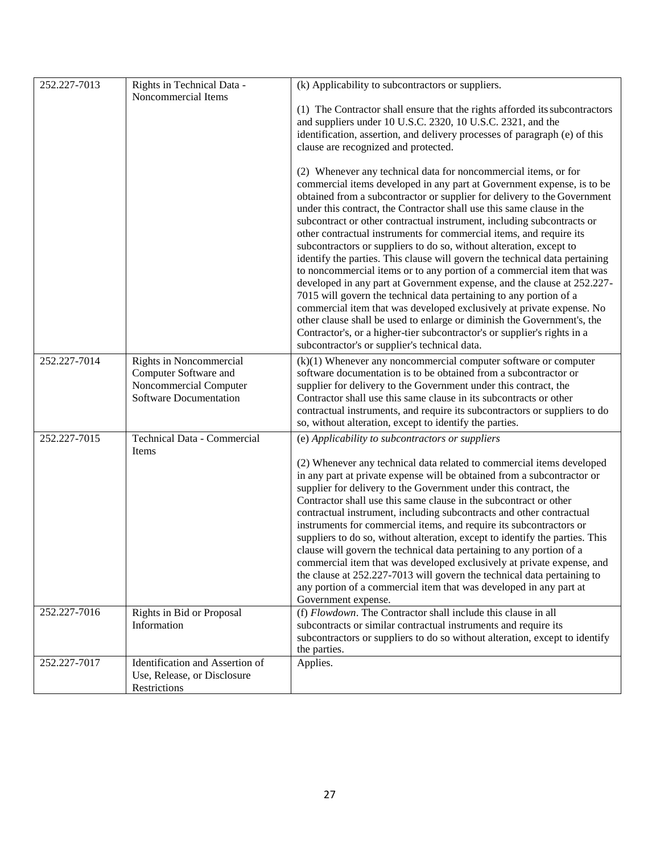| 252.227-7013 | Rights in Technical Data -           | (k) Applicability to subcontractors or suppliers.                                                                                                                                                                                                                                                                                                                                                                                                                                                                                                                                                                                                                                                                                                                                                                                                                                                         |
|--------------|--------------------------------------|-----------------------------------------------------------------------------------------------------------------------------------------------------------------------------------------------------------------------------------------------------------------------------------------------------------------------------------------------------------------------------------------------------------------------------------------------------------------------------------------------------------------------------------------------------------------------------------------------------------------------------------------------------------------------------------------------------------------------------------------------------------------------------------------------------------------------------------------------------------------------------------------------------------|
|              | Noncommercial Items                  |                                                                                                                                                                                                                                                                                                                                                                                                                                                                                                                                                                                                                                                                                                                                                                                                                                                                                                           |
|              |                                      | (1) The Contractor shall ensure that the rights afforded its subcontractors                                                                                                                                                                                                                                                                                                                                                                                                                                                                                                                                                                                                                                                                                                                                                                                                                               |
|              |                                      | and suppliers under 10 U.S.C. 2320, 10 U.S.C. 2321, and the<br>identification, assertion, and delivery processes of paragraph (e) of this                                                                                                                                                                                                                                                                                                                                                                                                                                                                                                                                                                                                                                                                                                                                                                 |
|              |                                      | clause are recognized and protected.                                                                                                                                                                                                                                                                                                                                                                                                                                                                                                                                                                                                                                                                                                                                                                                                                                                                      |
|              |                                      |                                                                                                                                                                                                                                                                                                                                                                                                                                                                                                                                                                                                                                                                                                                                                                                                                                                                                                           |
|              |                                      | (2) Whenever any technical data for noncommercial items, or for<br>commercial items developed in any part at Government expense, is to be<br>obtained from a subcontractor or supplier for delivery to the Government<br>under this contract, the Contractor shall use this same clause in the<br>subcontract or other contractual instrument, including subcontracts or<br>other contractual instruments for commercial items, and require its<br>subcontractors or suppliers to do so, without alteration, except to<br>identify the parties. This clause will govern the technical data pertaining<br>to noncommercial items or to any portion of a commercial item that was<br>developed in any part at Government expense, and the clause at 252.227-<br>7015 will govern the technical data pertaining to any portion of a<br>commercial item that was developed exclusively at private expense. No |
|              |                                      | other clause shall be used to enlarge or diminish the Government's, the<br>Contractor's, or a higher-tier subcontractor's or supplier's rights in a<br>subcontractor's or supplier's technical data.                                                                                                                                                                                                                                                                                                                                                                                                                                                                                                                                                                                                                                                                                                      |
| 252.227-7014 | <b>Rights in Noncommercial</b>       | $(k)(1)$ Whenever any noncommercial computer software or computer                                                                                                                                                                                                                                                                                                                                                                                                                                                                                                                                                                                                                                                                                                                                                                                                                                         |
|              | Computer Software and                | software documentation is to be obtained from a subcontractor or                                                                                                                                                                                                                                                                                                                                                                                                                                                                                                                                                                                                                                                                                                                                                                                                                                          |
|              | Noncommercial Computer               | supplier for delivery to the Government under this contract, the                                                                                                                                                                                                                                                                                                                                                                                                                                                                                                                                                                                                                                                                                                                                                                                                                                          |
|              | Software Documentation               | Contractor shall use this same clause in its subcontracts or other<br>contractual instruments, and require its subcontractors or suppliers to do                                                                                                                                                                                                                                                                                                                                                                                                                                                                                                                                                                                                                                                                                                                                                          |
|              |                                      | so, without alteration, except to identify the parties.                                                                                                                                                                                                                                                                                                                                                                                                                                                                                                                                                                                                                                                                                                                                                                                                                                                   |
| 252.227-7015 | Technical Data - Commercial<br>Items | (e) Applicability to subcontractors or suppliers                                                                                                                                                                                                                                                                                                                                                                                                                                                                                                                                                                                                                                                                                                                                                                                                                                                          |
|              |                                      | (2) Whenever any technical data related to commercial items developed                                                                                                                                                                                                                                                                                                                                                                                                                                                                                                                                                                                                                                                                                                                                                                                                                                     |
|              |                                      | in any part at private expense will be obtained from a subcontractor or                                                                                                                                                                                                                                                                                                                                                                                                                                                                                                                                                                                                                                                                                                                                                                                                                                   |
|              |                                      | supplier for delivery to the Government under this contract, the                                                                                                                                                                                                                                                                                                                                                                                                                                                                                                                                                                                                                                                                                                                                                                                                                                          |
|              |                                      | Contractor shall use this same clause in the subcontract or other                                                                                                                                                                                                                                                                                                                                                                                                                                                                                                                                                                                                                                                                                                                                                                                                                                         |
|              |                                      | contractual instrument, including subcontracts and other contractual<br>instruments for commercial items, and require its subcontractors or                                                                                                                                                                                                                                                                                                                                                                                                                                                                                                                                                                                                                                                                                                                                                               |
|              |                                      | suppliers to do so, without alteration, except to identify the parties. This                                                                                                                                                                                                                                                                                                                                                                                                                                                                                                                                                                                                                                                                                                                                                                                                                              |
|              |                                      | clause will govern the technical data pertaining to any portion of a                                                                                                                                                                                                                                                                                                                                                                                                                                                                                                                                                                                                                                                                                                                                                                                                                                      |
|              |                                      | commercial item that was developed exclusively at private expense, and                                                                                                                                                                                                                                                                                                                                                                                                                                                                                                                                                                                                                                                                                                                                                                                                                                    |
|              |                                      | the clause at 252.227-7013 will govern the technical data pertaining to<br>any portion of a commercial item that was developed in any part at                                                                                                                                                                                                                                                                                                                                                                                                                                                                                                                                                                                                                                                                                                                                                             |
|              |                                      | Government expense.                                                                                                                                                                                                                                                                                                                                                                                                                                                                                                                                                                                                                                                                                                                                                                                                                                                                                       |
| 252.227-7016 | Rights in Bid or Proposal            | (f) Flowdown. The Contractor shall include this clause in all                                                                                                                                                                                                                                                                                                                                                                                                                                                                                                                                                                                                                                                                                                                                                                                                                                             |
|              | Information                          | subcontracts or similar contractual instruments and require its                                                                                                                                                                                                                                                                                                                                                                                                                                                                                                                                                                                                                                                                                                                                                                                                                                           |
|              |                                      | subcontractors or suppliers to do so without alteration, except to identify<br>the parties.                                                                                                                                                                                                                                                                                                                                                                                                                                                                                                                                                                                                                                                                                                                                                                                                               |
| 252.227-7017 | Identification and Assertion of      | Applies.                                                                                                                                                                                                                                                                                                                                                                                                                                                                                                                                                                                                                                                                                                                                                                                                                                                                                                  |
|              | Use, Release, or Disclosure          |                                                                                                                                                                                                                                                                                                                                                                                                                                                                                                                                                                                                                                                                                                                                                                                                                                                                                                           |
|              | Restrictions                         |                                                                                                                                                                                                                                                                                                                                                                                                                                                                                                                                                                                                                                                                                                                                                                                                                                                                                                           |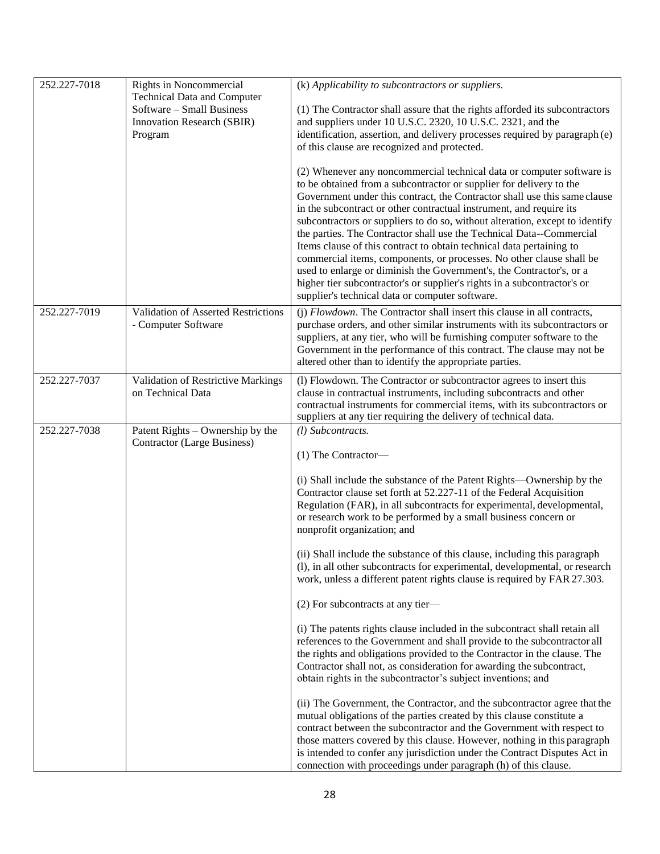| 252.227-7018 | Rights in Noncommercial<br><b>Technical Data and Computer</b><br>Software - Small Business<br><b>Innovation Research (SBIR)</b><br>Program | (k) Applicability to subcontractors or suppliers.<br>(1) The Contractor shall assure that the rights afforded its subcontractors<br>and suppliers under 10 U.S.C. 2320, 10 U.S.C. 2321, and the<br>identification, assertion, and delivery processes required by paragraph (e)<br>of this clause are recognized and protected.<br>(2) Whenever any noncommercial technical data or computer software is<br>to be obtained from a subcontractor or supplier for delivery to the<br>Government under this contract, the Contractor shall use this same clause<br>in the subcontract or other contractual instrument, and require its<br>subcontractors or suppliers to do so, without alteration, except to identify<br>the parties. The Contractor shall use the Technical Data--Commercial<br>Items clause of this contract to obtain technical data pertaining to<br>commercial items, components, or processes. No other clause shall be<br>used to enlarge or diminish the Government's, the Contractor's, or a |
|--------------|--------------------------------------------------------------------------------------------------------------------------------------------|--------------------------------------------------------------------------------------------------------------------------------------------------------------------------------------------------------------------------------------------------------------------------------------------------------------------------------------------------------------------------------------------------------------------------------------------------------------------------------------------------------------------------------------------------------------------------------------------------------------------------------------------------------------------------------------------------------------------------------------------------------------------------------------------------------------------------------------------------------------------------------------------------------------------------------------------------------------------------------------------------------------------|
|              |                                                                                                                                            | higher tier subcontractor's or supplier's rights in a subcontractor's or<br>supplier's technical data or computer software.                                                                                                                                                                                                                                                                                                                                                                                                                                                                                                                                                                                                                                                                                                                                                                                                                                                                                        |
| 252.227-7019 | <b>Validation of Asserted Restrictions</b><br>- Computer Software                                                                          | (i) Flowdown. The Contractor shall insert this clause in all contracts,<br>purchase orders, and other similar instruments with its subcontractors or<br>suppliers, at any tier, who will be furnishing computer software to the<br>Government in the performance of this contract. The clause may not be<br>altered other than to identify the appropriate parties.                                                                                                                                                                                                                                                                                                                                                                                                                                                                                                                                                                                                                                                |
| 252.227-7037 | Validation of Restrictive Markings<br>on Technical Data                                                                                    | (1) Flowdown. The Contractor or subcontractor agrees to insert this<br>clause in contractual instruments, including subcontracts and other<br>contractual instruments for commercial items, with its subcontractors or<br>suppliers at any tier requiring the delivery of technical data.                                                                                                                                                                                                                                                                                                                                                                                                                                                                                                                                                                                                                                                                                                                          |
| 252.227-7038 | Patent Rights – Ownership by the<br><b>Contractor</b> (Large Business)                                                                     | (l) Subcontracts.                                                                                                                                                                                                                                                                                                                                                                                                                                                                                                                                                                                                                                                                                                                                                                                                                                                                                                                                                                                                  |
|              |                                                                                                                                            | (1) The Contractor-<br>(i) Shall include the substance of the Patent Rights—Ownership by the<br>Contractor clause set forth at 52.227-11 of the Federal Acquisition<br>Regulation (FAR), in all subcontracts for experimental, developmental,<br>or research work to be performed by a small business concern or<br>nonprofit organization; and                                                                                                                                                                                                                                                                                                                                                                                                                                                                                                                                                                                                                                                                    |
|              |                                                                                                                                            | (ii) Shall include the substance of this clause, including this paragraph<br>(l), in all other subcontracts for experimental, developmental, or research<br>work, unless a different patent rights clause is required by FAR 27.303.                                                                                                                                                                                                                                                                                                                                                                                                                                                                                                                                                                                                                                                                                                                                                                               |
|              |                                                                                                                                            | (2) For subcontracts at any tier-                                                                                                                                                                                                                                                                                                                                                                                                                                                                                                                                                                                                                                                                                                                                                                                                                                                                                                                                                                                  |
|              |                                                                                                                                            | (i) The patents rights clause included in the subcontract shall retain all<br>references to the Government and shall provide to the subcontractor all<br>the rights and obligations provided to the Contractor in the clause. The<br>Contractor shall not, as consideration for awarding the subcontract,<br>obtain rights in the subcontractor's subject inventions; and                                                                                                                                                                                                                                                                                                                                                                                                                                                                                                                                                                                                                                          |
|              |                                                                                                                                            | (ii) The Government, the Contractor, and the subcontractor agree that the<br>mutual obligations of the parties created by this clause constitute a<br>contract between the subcontractor and the Government with respect to<br>those matters covered by this clause. However, nothing in this paragraph<br>is intended to confer any jurisdiction under the Contract Disputes Act in<br>connection with proceedings under paragraph (h) of this clause.                                                                                                                                                                                                                                                                                                                                                                                                                                                                                                                                                            |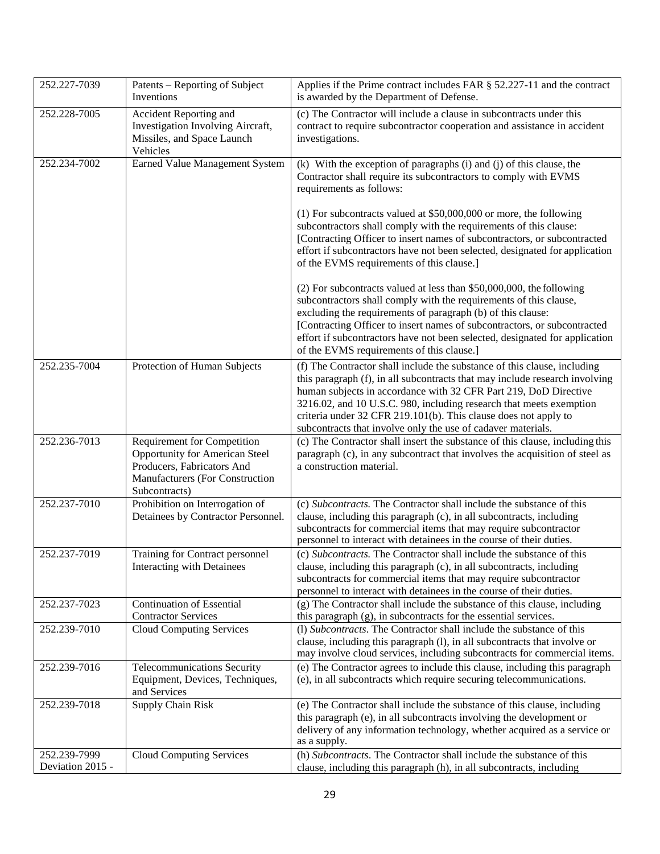| 252.227-7039                     | Patents – Reporting of Subject<br>Inventions                                                                                                           | Applies if the Prime contract includes FAR $\S$ 52.227-11 and the contract<br>is awarded by the Department of Defense.                                                                                                                                                                                                                                                                                                                |  |
|----------------------------------|--------------------------------------------------------------------------------------------------------------------------------------------------------|---------------------------------------------------------------------------------------------------------------------------------------------------------------------------------------------------------------------------------------------------------------------------------------------------------------------------------------------------------------------------------------------------------------------------------------|--|
| 252.228-7005                     | Accident Reporting and<br>Investigation Involving Aircraft,<br>Missiles, and Space Launch<br>Vehicles                                                  | (c) The Contractor will include a clause in subcontracts under this<br>contract to require subcontractor cooperation and assistance in accident<br>investigations.                                                                                                                                                                                                                                                                    |  |
| 252.234-7002                     | <b>Earned Value Management System</b>                                                                                                                  | (k) With the exception of paragraphs (i) and (j) of this clause, the<br>Contractor shall require its subcontractors to comply with EVMS<br>requirements as follows:                                                                                                                                                                                                                                                                   |  |
|                                  |                                                                                                                                                        | $(1)$ For subcontracts valued at \$50,000,000 or more, the following<br>subcontractors shall comply with the requirements of this clause:<br>[Contracting Officer to insert names of subcontractors, or subcontracted<br>effort if subcontractors have not been selected, designated for application<br>of the EVMS requirements of this clause.]                                                                                     |  |
|                                  |                                                                                                                                                        | $(2)$ For subcontracts valued at less than \$50,000,000, the following<br>subcontractors shall comply with the requirements of this clause,<br>excluding the requirements of paragraph (b) of this clause:<br>[Contracting Officer to insert names of subcontractors, or subcontracted<br>effort if subcontractors have not been selected, designated for application<br>of the EVMS requirements of this clause.]                    |  |
| 252.235-7004                     | Protection of Human Subjects                                                                                                                           | (f) The Contractor shall include the substance of this clause, including<br>this paragraph (f), in all subcontracts that may include research involving<br>human subjects in accordance with 32 CFR Part 219, DoD Directive<br>3216.02, and 10 U.S.C. 980, including research that meets exemption<br>criteria under 32 CFR 219.101(b). This clause does not apply to<br>subcontracts that involve only the use of cadaver materials. |  |
| 252.236-7013                     | Requirement for Competition<br><b>Opportunity for American Steel</b><br>Producers, Fabricators And<br>Manufacturers (For Construction<br>Subcontracts) | (c) The Contractor shall insert the substance of this clause, including this<br>paragraph (c), in any subcontract that involves the acquisition of steel as<br>a construction material.                                                                                                                                                                                                                                               |  |
| 252.237-7010                     | Prohibition on Interrogation of<br>Detainees by Contractor Personnel.                                                                                  | (c) Subcontracts. The Contractor shall include the substance of this<br>clause, including this paragraph (c), in all subcontracts, including<br>subcontracts for commercial items that may require subcontractor<br>personnel to interact with detainees in the course of their duties.                                                                                                                                               |  |
| 252.237-7019                     | Training for Contract personnel<br><b>Interacting with Detainees</b>                                                                                   | (c) Subcontracts. The Contractor shall include the substance of this<br>clause, including this paragraph (c), in all subcontracts, including<br>subcontracts for commercial items that may require subcontractor<br>personnel to interact with detainees in the course of their duties.                                                                                                                                               |  |
| 252.237-7023                     | <b>Continuation of Essential</b><br><b>Contractor Services</b>                                                                                         | (g) The Contractor shall include the substance of this clause, including<br>this paragraph (g), in subcontracts for the essential services.                                                                                                                                                                                                                                                                                           |  |
| 252.239-7010                     | Cloud Computing Services                                                                                                                               | (1) Subcontracts. The Contractor shall include the substance of this<br>clause, including this paragraph (1), in all subcontracts that involve or<br>may involve cloud services, including subcontracts for commercial items.                                                                                                                                                                                                         |  |
| 252.239-7016                     | Telecommunications Security<br>Equipment, Devices, Techniques,<br>and Services                                                                         | (e) The Contractor agrees to include this clause, including this paragraph<br>(e), in all subcontracts which require securing telecommunications.                                                                                                                                                                                                                                                                                     |  |
| 252.239-7018                     | <b>Supply Chain Risk</b>                                                                                                                               | (e) The Contractor shall include the substance of this clause, including<br>this paragraph (e), in all subcontracts involving the development or<br>delivery of any information technology, whether acquired as a service or<br>as a supply.                                                                                                                                                                                          |  |
| 252.239-7999<br>Deviation 2015 - | Cloud Computing Services                                                                                                                               | (h) Subcontracts. The Contractor shall include the substance of this<br>clause, including this paragraph (h), in all subcontracts, including                                                                                                                                                                                                                                                                                          |  |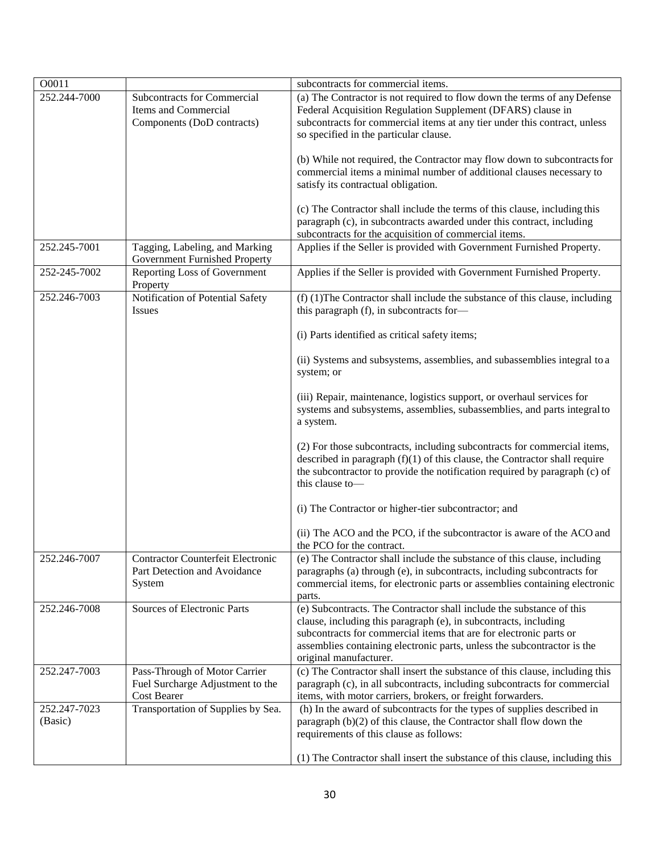| O0011                   |                                                                                                 | subcontracts for commercial items.                                                                                                                                                                                                                                                                                  |  |
|-------------------------|-------------------------------------------------------------------------------------------------|---------------------------------------------------------------------------------------------------------------------------------------------------------------------------------------------------------------------------------------------------------------------------------------------------------------------|--|
| 252.244-7000            | <b>Subcontracts for Commercial</b><br><b>Items and Commercial</b><br>Components (DoD contracts) | (a) The Contractor is not required to flow down the terms of any Defense<br>Federal Acquisition Regulation Supplement (DFARS) clause in<br>subcontracts for commercial items at any tier under this contract, unless<br>so specified in the particular clause.                                                      |  |
|                         |                                                                                                 | (b) While not required, the Contractor may flow down to subcontracts for<br>commercial items a minimal number of additional clauses necessary to<br>satisfy its contractual obligation.                                                                                                                             |  |
|                         |                                                                                                 | (c) The Contractor shall include the terms of this clause, including this<br>paragraph (c), in subcontracts awarded under this contract, including<br>subcontracts for the acquisition of commercial items.                                                                                                         |  |
| 252.245-7001            | Tagging, Labeling, and Marking<br>Government Furnished Property                                 | Applies if the Seller is provided with Government Furnished Property.                                                                                                                                                                                                                                               |  |
| 252-245-7002            | Reporting Loss of Government<br>Property                                                        | Applies if the Seller is provided with Government Furnished Property.                                                                                                                                                                                                                                               |  |
| 252.246-7003            | Notification of Potential Safety<br><b>Issues</b>                                               | $(f)$ (1) The Contractor shall include the substance of this clause, including<br>this paragraph (f), in subcontracts for-                                                                                                                                                                                          |  |
|                         |                                                                                                 | (i) Parts identified as critical safety items;                                                                                                                                                                                                                                                                      |  |
|                         |                                                                                                 | (ii) Systems and subsystems, assemblies, and subassemblies integral to a<br>system; or                                                                                                                                                                                                                              |  |
|                         |                                                                                                 | (iii) Repair, maintenance, logistics support, or overhaul services for<br>systems and subsystems, assemblies, subassemblies, and parts integral to<br>a system.                                                                                                                                                     |  |
|                         |                                                                                                 | (2) For those subcontracts, including subcontracts for commercial items,<br>described in paragraph (f)(1) of this clause, the Contractor shall require<br>the subcontractor to provide the notification required by paragraph (c) of<br>this clause to-                                                             |  |
|                         |                                                                                                 | (i) The Contractor or higher-tier subcontractor; and                                                                                                                                                                                                                                                                |  |
|                         |                                                                                                 | (ii) The ACO and the PCO, if the subcontractor is aware of the ACO and<br>the PCO for the contract.                                                                                                                                                                                                                 |  |
| 252.246-7007            | Contractor Counterfeit Electronic<br>Part Detection and Avoidance<br>System                     | (e) The Contractor shall include the substance of this clause, including<br>paragraphs (a) through (e), in subcontracts, including subcontracts for<br>commercial items, for electronic parts or assemblies containing electronic<br>parts.                                                                         |  |
| 252.246-7008            | Sources of Electronic Parts                                                                     | (e) Subcontracts. The Contractor shall include the substance of this<br>clause, including this paragraph (e), in subcontracts, including<br>subcontracts for commercial items that are for electronic parts or<br>assemblies containing electronic parts, unless the subcontractor is the<br>original manufacturer. |  |
| 252.247-7003            | Pass-Through of Motor Carrier<br>Fuel Surcharge Adjustment to the<br>Cost Bearer                | (c) The Contractor shall insert the substance of this clause, including this<br>paragraph (c), in all subcontracts, including subcontracts for commercial<br>items, with motor carriers, brokers, or freight forwarders.                                                                                            |  |
| 252.247-7023<br>(Basic) | Transportation of Supplies by Sea.                                                              | (h) In the award of subcontracts for the types of supplies described in<br>paragraph (b)(2) of this clause, the Contractor shall flow down the<br>requirements of this clause as follows:                                                                                                                           |  |
|                         |                                                                                                 | (1) The Contractor shall insert the substance of this clause, including this                                                                                                                                                                                                                                        |  |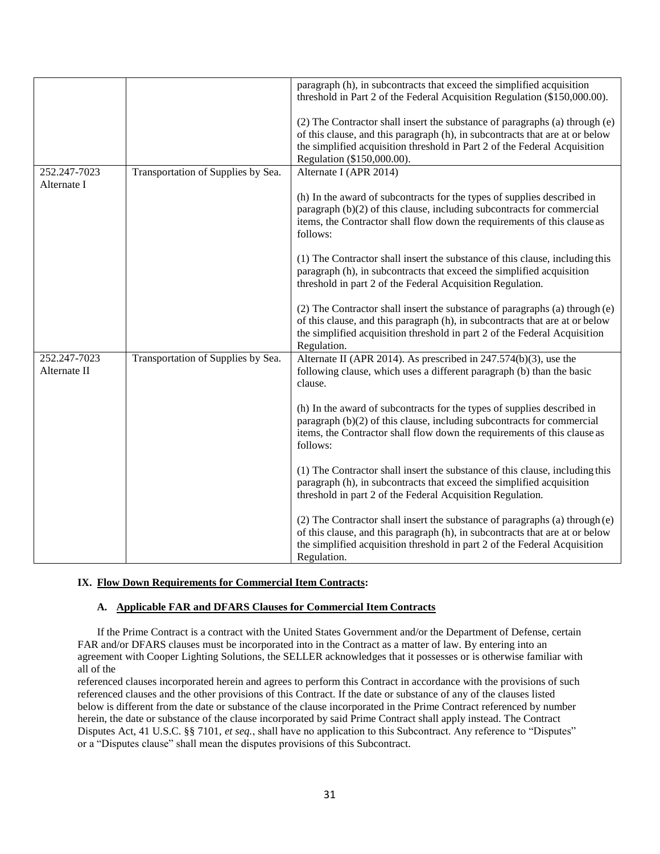|                              |                                    | paragraph (h), in subcontracts that exceed the simplified acquisition<br>threshold in Part 2 of the Federal Acquisition Regulation (\$150,000.00).                                                                                                                     |
|------------------------------|------------------------------------|------------------------------------------------------------------------------------------------------------------------------------------------------------------------------------------------------------------------------------------------------------------------|
|                              |                                    | (2) The Contractor shall insert the substance of paragraphs (a) through (e)<br>of this clause, and this paragraph (h), in subcontracts that are at or below<br>the simplified acquisition threshold in Part 2 of the Federal Acquisition<br>Regulation (\$150,000.00). |
| 252.247-7023<br>Alternate I  | Transportation of Supplies by Sea. | Alternate I (APR 2014)                                                                                                                                                                                                                                                 |
|                              |                                    | (h) In the award of subcontracts for the types of supplies described in<br>paragraph (b)(2) of this clause, including subcontracts for commercial<br>items, the Contractor shall flow down the requirements of this clause as<br>follows:                              |
|                              |                                    | (1) The Contractor shall insert the substance of this clause, including this<br>paragraph (h), in subcontracts that exceed the simplified acquisition<br>threshold in part 2 of the Federal Acquisition Regulation.                                                    |
|                              |                                    | (2) The Contractor shall insert the substance of paragraphs (a) through (e)<br>of this clause, and this paragraph (h), in subcontracts that are at or below<br>the simplified acquisition threshold in part 2 of the Federal Acquisition<br>Regulation.                |
| 252.247-7023<br>Alternate II | Transportation of Supplies by Sea. | Alternate II (APR 2014). As prescribed in $247.574(b)(3)$ , use the<br>following clause, which uses a different paragraph (b) than the basic<br>clause.                                                                                                                |
|                              |                                    | (h) In the award of subcontracts for the types of supplies described in<br>paragraph (b)(2) of this clause, including subcontracts for commercial<br>items, the Contractor shall flow down the requirements of this clause as<br>follows:                              |
|                              |                                    | (1) The Contractor shall insert the substance of this clause, including this<br>paragraph (h), in subcontracts that exceed the simplified acquisition<br>threshold in part 2 of the Federal Acquisition Regulation.                                                    |
|                              |                                    | (2) The Contractor shall insert the substance of paragraphs (a) through (e)<br>of this clause, and this paragraph (h), in subcontracts that are at or below<br>the simplified acquisition threshold in part 2 of the Federal Acquisition<br>Regulation.                |

# **IX. Flow Down Requirements for Commercial Item Contracts:**

# **A. Applicable FAR and DFARS Clauses for Commercial Item Contracts**

If the Prime Contract is a contract with the United States Government and/or the Department of Defense, certain FAR and/or DFARS clauses must be incorporated into in the Contract as a matter of law. By entering into an agreement with Cooper Lighting Solutions, the SELLER acknowledges that it possesses or is otherwise familiar with all of the

referenced clauses incorporated herein and agrees to perform this Contract in accordance with the provisions of such referenced clauses and the other provisions of this Contract. If the date or substance of any of the clauses listed below is different from the date or substance of the clause incorporated in the Prime Contract referenced by number herein, the date or substance of the clause incorporated by said Prime Contract shall apply instead. The Contract Disputes Act, 41 U.S.C. §§ 7101, *et seq.*, shall have no application to this Subcontract. Any reference to "Disputes" or a "Disputes clause" shall mean the disputes provisions of this Subcontract.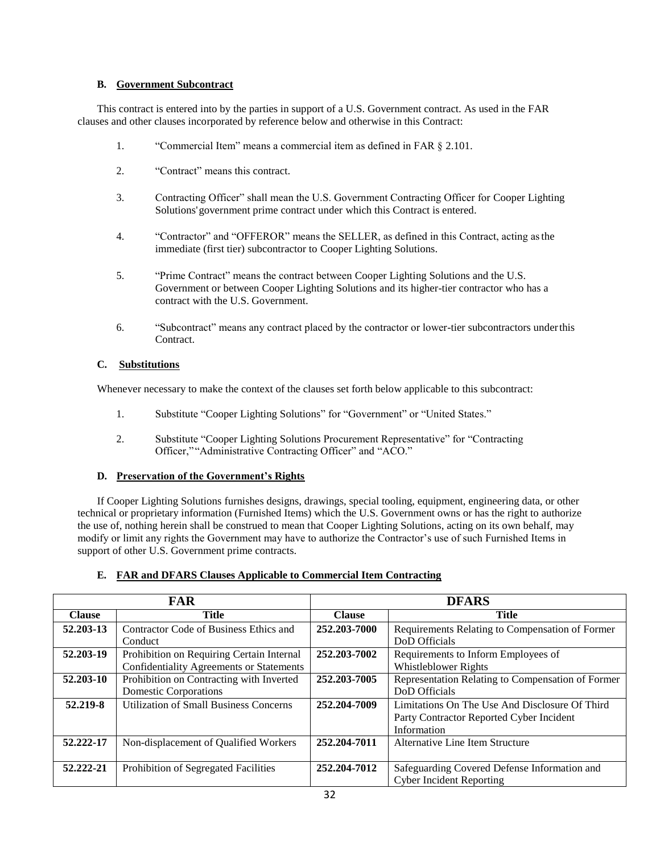### **B. Government Subcontract**

This contract is entered into by the parties in support of a U.S. Government contract. As used in the FAR clauses and other clauses incorporated by reference below and otherwise in this Contract:

- 1. "Commercial Item" means a commercial item as defined in FAR § 2.101.
- 2. "Contract" means this contract.
- 3. Contracting Officer" shall mean the U.S. Government Contracting Officer for Cooper Lighting Solutions'government prime contract under which this Contract is entered.
- 4. "Contractor" and "OFFEROR" means the SELLER, as defined in this Contract, acting asthe immediate (first tier) subcontractor to Cooper Lighting Solutions.
- 5. "Prime Contract" means the contract between Cooper Lighting Solutions and the U.S. Government or between Cooper Lighting Solutions and its higher-tier contractor who has a contract with the U.S. Government.
- 6. "Subcontract" means any contract placed by the contractor or lower-tier subcontractors underthis Contract.

## **C. Substitutions**

Whenever necessary to make the context of the clauses set forth below applicable to this subcontract:

- 1. Substitute "Cooper Lighting Solutions" for "Government" or "United States."
- 2. Substitute "Cooper Lighting Solutions Procurement Representative" for "Contracting Officer," "Administrative Contracting Officer" and "ACO."

## **D. Preservation of the Government's Rights**

If Cooper Lighting Solutions furnishes designs, drawings, special tooling, equipment, engineering data, or other technical or proprietary information (Furnished Items) which the U.S. Government owns or has the right to authorize the use of, nothing herein shall be construed to mean that Cooper Lighting Solutions, acting on its own behalf, may modify or limit any rights the Government may have to authorize the Contractor's use of such Furnished Items in support of other U.S. Government prime contracts.

| <b>FAR</b>    |                                               | <b>DFARS</b>  |                                                   |
|---------------|-----------------------------------------------|---------------|---------------------------------------------------|
| <b>Clause</b> | Title                                         | <b>Clause</b> | <b>Title</b>                                      |
| 52.203-13     | Contractor Code of Business Ethics and        | 252.203-7000  | Requirements Relating to Compensation of Former   |
|               | Conduct                                       |               | DoD Officials                                     |
| 52.203-19     | Prohibition on Requiring Certain Internal     | 252, 203-7002 | Requirements to Inform Employees of               |
|               | Confidentiality Agreements or Statements      |               | <b>Whistleblower Rights</b>                       |
| 52.203-10     | Prohibition on Contracting with Inverted      | 252, 203-7005 | Representation Relating to Compensation of Former |
|               | <b>Domestic Corporations</b>                  |               | DoD Officials                                     |
| 52.219-8      | <b>Utilization of Small Business Concerns</b> | 252.204-7009  | Limitations On The Use And Disclosure Of Third    |
|               |                                               |               | Party Contractor Reported Cyber Incident          |
|               |                                               |               | Information                                       |
| 52.222-17     | Non-displacement of Qualified Workers         | 252.204-7011  | Alternative Line Item Structure                   |
|               |                                               |               |                                                   |
| 52.222-21     | Prohibition of Segregated Facilities          | 252.204-7012  | Safeguarding Covered Defense Information and      |
|               |                                               |               | <b>Cyber Incident Reporting</b>                   |

## **E. FAR and DFARS Clauses Applicable to Commercial Item Contracting**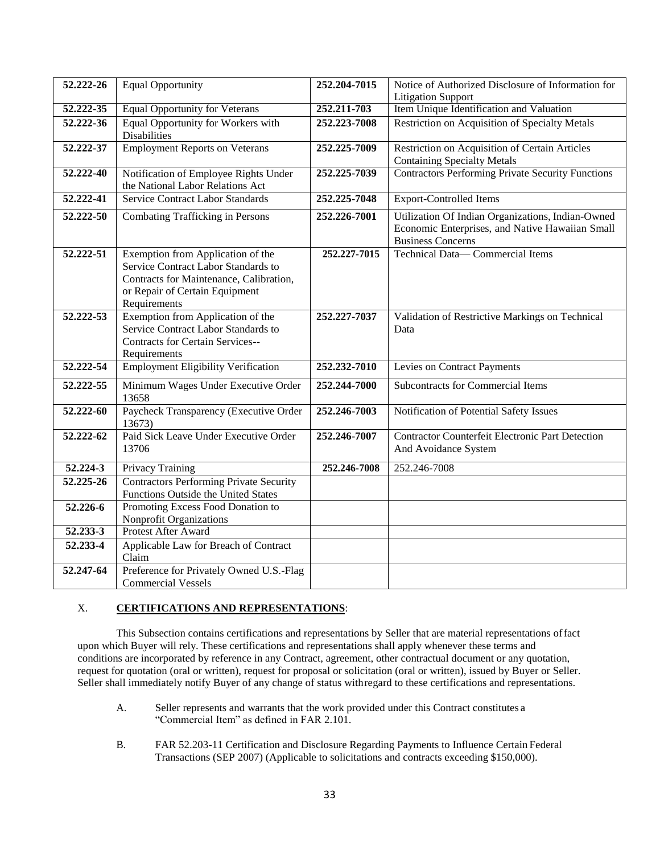| 52.222-26    | <b>Equal Opportunity</b>                                                                                                                                              | 252.204-7015  | Notice of Authorized Disclosure of Information for                                                                               |
|--------------|-----------------------------------------------------------------------------------------------------------------------------------------------------------------------|---------------|----------------------------------------------------------------------------------------------------------------------------------|
|              |                                                                                                                                                                       |               | <b>Litigation Support</b>                                                                                                        |
| 52.222-35    | <b>Equal Opportunity for Veterans</b>                                                                                                                                 | 252.211-703   | Item Unique Identification and Valuation                                                                                         |
| 52.222-36    | Equal Opportunity for Workers with<br><b>Disabilities</b>                                                                                                             | 252.223-7008  | Restriction on Acquisition of Specialty Metals                                                                                   |
| 52.222-37    | <b>Employment Reports on Veterans</b>                                                                                                                                 | 252,225-7009  | Restriction on Acquisition of Certain Articles<br><b>Containing Specialty Metals</b>                                             |
| 52.222-40    | Notification of Employee Rights Under<br>the National Labor Relations Act                                                                                             | 252.225-7039  | <b>Contractors Performing Private Security Functions</b>                                                                         |
| 52.222-41    | <b>Service Contract Labor Standards</b>                                                                                                                               | 252.225-7048  | <b>Export-Controlled Items</b>                                                                                                   |
| 52,222-50    | Combating Trafficking in Persons                                                                                                                                      | 252.226-7001  | Utilization Of Indian Organizations, Indian-Owned<br>Economic Enterprises, and Native Hawaiian Small<br><b>Business Concerns</b> |
| 52.222-51    | Exemption from Application of the<br>Service Contract Labor Standards to<br>Contracts for Maintenance, Calibration,<br>or Repair of Certain Equipment<br>Requirements | 252.227-7015  | Technical Data-Commercial Items                                                                                                  |
| 52.222-53    | Exemption from Application of the<br>Service Contract Labor Standards to<br><b>Contracts for Certain Services--</b><br>Requirements                                   | 252, 227-7037 | Validation of Restrictive Markings on Technical<br>Data                                                                          |
| 52.222-54    | <b>Employment Eligibility Verification</b>                                                                                                                            | 252.232-7010  | Levies on Contract Payments                                                                                                      |
| 52.222-55    | Minimum Wages Under Executive Order<br>13658                                                                                                                          | 252.244-7000  | <b>Subcontracts for Commercial Items</b>                                                                                         |
| 52.222-60    | Paycheck Transparency (Executive Order<br>13673)                                                                                                                      | 252.246-7003  | Notification of Potential Safety Issues                                                                                          |
| 52.222-62    | Paid Sick Leave Under Executive Order<br>13706                                                                                                                        | 252.246-7007  | <b>Contractor Counterfeit Electronic Part Detection</b><br>And Avoidance System                                                  |
| $52.224 - 3$ | <b>Privacy Training</b>                                                                                                                                               | 252.246-7008  | 252.246-7008                                                                                                                     |
| 52.225-26    | Contractors Performing Private Security<br>Functions Outside the United States                                                                                        |               |                                                                                                                                  |
| 52.226-6     | Promoting Excess Food Donation to<br>Nonprofit Organizations                                                                                                          |               |                                                                                                                                  |
| $52.233 - 3$ | Protest After Award                                                                                                                                                   |               |                                                                                                                                  |
| 52.233-4     | Applicable Law for Breach of Contract<br>Claim                                                                                                                        |               |                                                                                                                                  |
| 52.247-64    | Preference for Privately Owned U.S.-Flag<br><b>Commercial Vessels</b>                                                                                                 |               |                                                                                                                                  |

## X. **CERTIFICATIONS AND REPRESENTATIONS**:

This Subsection contains certifications and representations by Seller that are material representations offact upon which Buyer will rely. These certifications and representations shall apply whenever these terms and conditions are incorporated by reference in any Contract, agreement, other contractual document or any quotation, request for quotation (oral or written), request for proposal or solicitation (oral or written), issued by Buyer or Seller. Seller shall immediately notify Buyer of any change of status withregard to these certifications and representations.

- A. Seller represents and warrants that the work provided under this Contract constitutes a "Commercial Item" as defined in FAR 2.101.
- B. FAR 52.203-11 Certification and Disclosure Regarding Payments to Influence Certain Federal Transactions (SEP 2007) (Applicable to solicitations and contracts exceeding \$150,000).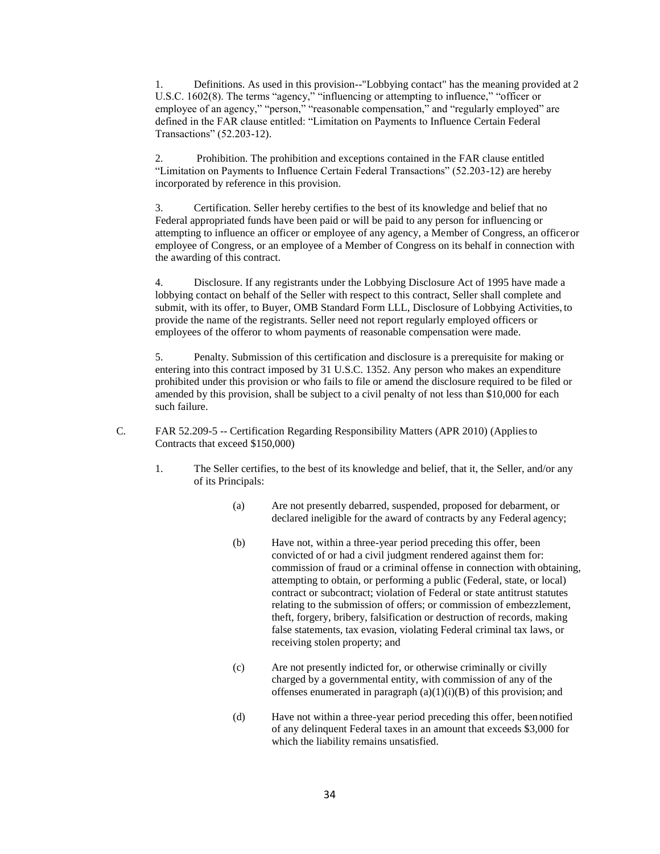1. Definitions. As used in this provision--"Lobbying contact" has the meaning provided at 2 U.S.C. 1602(8). The terms "agency," "influencing or attempting to influence," "officer or employee of an agency," "person," "reasonable compensation," and "regularly employed" are defined in the FAR clause entitled: "Limitation on Payments to Influence Certain Federal Transactions" (52.203-12).

Prohibition. The prohibition and exceptions contained in the FAR clause entitled "Limitation on Payments to Influence Certain Federal Transactions" (52.203-12) are hereby incorporated by reference in this provision.

3. Certification. Seller hereby certifies to the best of its knowledge and belief that no Federal appropriated funds have been paid or will be paid to any person for influencing or attempting to influence an officer or employee of any agency, a Member of Congress, an officeror employee of Congress, or an employee of a Member of Congress on its behalf in connection with the awarding of this contract.

4. Disclosure. If any registrants under the Lobbying Disclosure Act of 1995 have made a lobbying contact on behalf of the Seller with respect to this contract, Seller shall complete and submit, with its offer, to Buyer, OMB Standard Form LLL, Disclosure of Lobbying Activities, to provide the name of the registrants. Seller need not report regularly employed officers or employees of the offeror to whom payments of reasonable compensation were made.

5. Penalty. Submission of this certification and disclosure is a prerequisite for making or entering into this contract imposed by 31 U.S.C. 1352. Any person who makes an expenditure prohibited under this provision or who fails to file or amend the disclosure required to be filed or amended by this provision, shall be subject to a civil penalty of not less than \$10,000 for each such failure.

- C. FAR 52.209-5 -- Certification Regarding Responsibility Matters (APR 2010) (Appliesto Contracts that exceed \$150,000)
	- 1. The Seller certifies, to the best of its knowledge and belief, that it, the Seller, and/or any of its Principals:
		- (a) Are not presently debarred, suspended, proposed for debarment, or declared ineligible for the award of contracts by any Federal agency;
		- (b) Have not, within a three-year period preceding this offer, been convicted of or had a civil judgment rendered against them for: commission of fraud or a criminal offense in connection with obtaining, attempting to obtain, or performing a public (Federal, state, or local) contract or subcontract; violation of Federal or state antitrust statutes relating to the submission of offers; or commission of embezzlement, theft, forgery, bribery, falsification or destruction of records, making false statements, tax evasion, violating Federal criminal tax laws, or receiving stolen property; and
		- (c) Are not presently indicted for, or otherwise criminally or civilly charged by a governmental entity, with commission of any of the offenses enumerated in paragraph  $(a)(1)(i)(B)$  of this provision; and
		- (d) Have not within a three-year period preceding this offer, been notified of any delinquent Federal taxes in an amount that exceeds \$3,000 for which the liability remains unsatisfied.